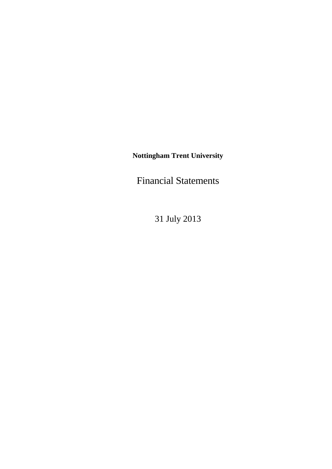**Nottingham Trent University** 

Financial Statements

31 July 2013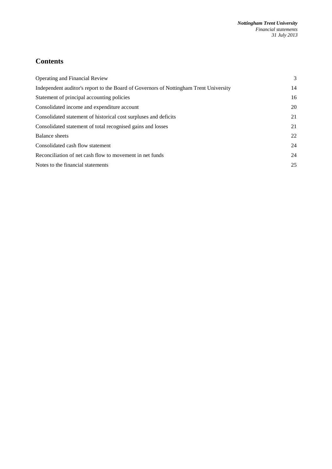# **Contents**

| <b>Operating and Financial Review</b>                                                 | 3  |
|---------------------------------------------------------------------------------------|----|
| Independent auditor's report to the Board of Governors of Nottingham Trent University | 14 |
| Statement of principal accounting policies                                            | 16 |
| Consolidated income and expenditure account                                           | 20 |
| Consolidated statement of historical cost surpluses and deficits                      | 21 |
| Consolidated statement of total recognised gains and losses                           | 21 |
| Balance sheets                                                                        | 22 |
| Consolidated cash flow statement                                                      | 24 |
| Reconciliation of net cash flow to movement in net funds                              | 24 |
| Notes to the financial statements                                                     | 25 |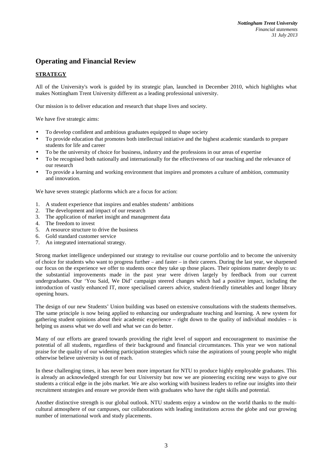# **Operating and Financial Review**

# **STRATEGY**

All of the University's work is guided by its strategic plan, launched in December 2010, which highlights what makes Nottingham Trent University different as a leading professional university.

Our mission is to deliver education and research that shape lives and society.

We have five strategic aims:

- To develop confident and ambitious graduates equipped to shape society
- To provide education that promotes both intellectual initiative and the highest academic standards to prepare students for life and career
- To be the university of choice for business, industry and the professions in our areas of expertise
- To be recognised both nationally and internationally for the effectiveness of our teaching and the relevance of our research
- To provide a learning and working environment that inspires and promotes a culture of ambition, community and innovation.

We have seven strategic platforms which are a focus for action:

- 1. A student experience that inspires and enables students' ambitions
- 2. The development and impact of our research
- 3. The application of market insight and management data
- 4. The freedom to invest
- 5. A resource structure to drive the business
- 6. Gold standard customer service
- 7. An integrated international strategy.

Strong market intelligence underpinned our strategy to revitalise our course portfolio and to become the university of choice for students who want to progress further – and faster – in their careers. During the last year, we sharpened our focus on the experience we offer to students once they take up those places. Their opinions matter deeply to us: the substantial improvements made in the past year were driven largely by feedback from our current undergraduates. Our 'You Said, We Did' campaign steered changes which had a positive impact, including the introduction of vastly enhanced IT, more specialised careers advice, student-friendly timetables and longer library opening hours.

The design of our new Students' Union building was based on extensive consultations with the students themselves. The same principle is now being applied to enhancing our undergraduate teaching and learning. A new system for gathering student opinions about their academic experience – right down to the quality of individual modules – is helping us assess what we do well and what we can do better.

Many of our efforts are geared towards providing the right level of support and encouragement to maximise the potential of all students, regardless of their background and financial circumstances. This year we won national praise for the quality of our widening participation strategies which raise the aspirations of young people who might otherwise believe university is out of reach.

In these challenging times, it has never been more important for NTU to produce highly employable graduates. This is already an acknowledged strength for our University but now we are pioneering exciting new ways to give our students a critical edge in the jobs market. We are also working with business leaders to refine our insights into their recruitment strategies and ensure we provide them with graduates who have the right skills and potential.

Another distinctive strength is our global outlook. NTU students enjoy a window on the world thanks to the multicultural atmosphere of our campuses, our collaborations with leading institutions across the globe and our growing number of international work and study placements.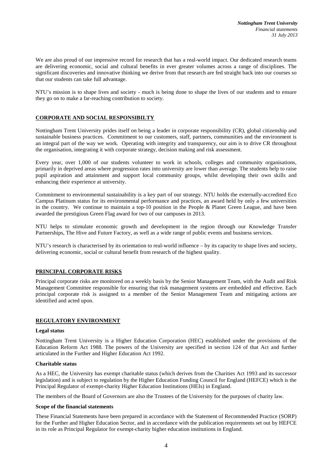We are also proud of our impressive record for research that has a real-world impact. Our dedicated research teams are delivering economic, social and cultural benefits in ever greater volumes across a range of disciplines. The significant discoveries and innovative thinking we derive from that research are fed straight back into our courses so that our students can take full advantage.

NTU's mission is to shape lives and society - much is being done to shape the lives of our students and to ensure they go on to make a far-reaching contribution to society.

# **CORPORATE AND SOCIAL RESPONSIBILTY**

Nottingham Trent University prides itself on being a leader in corporate responsibility (CR), global citizenship and sustainable business practices. Commitment to our customers, staff, partners, communities and the environment is an integral part of the way we work. Operating with integrity and transparency, our aim is to drive CR throughout the organisation, integrating it with corporate strategy, decision making and risk assessment.

Every year, over 1,000 of our students volunteer to work in schools, colleges and community organisations, primarily in deprived areas where progression rates into university are lower than average. The students help to raise pupil aspiration and attainment and support local community groups, whilst developing their own skills and enhancing their experience at university.

Commitment to environmental sustainability is a key part of our strategy. NTU holds the externally-accredited Eco Campus Platinum status for its environmental performance and practices, an award held by only a few universities in the country. We continue to maintain a top-10 position in the People  $\&$  Planet Green League, and have been awarded the prestigious Green Flag award for two of our campuses in 2013.

NTU helps to stimulate economic growth and development in the region through our Knowledge Transfer Partnerships, The Hive and Future Factory, as well as a wide range of public events and business services.

NTU's research is characterised by its orientation to real-world influence – by its capacity to shape lives and society, delivering economic, social or cultural benefit from research of the highest quality.

## **PRINCIPAL CORPORATE RISKS**

Principal corporate risks are monitored on a weekly basis by the Senior Management Team, with the Audit and Risk Management Committee responsible for ensuring that risk management systems are embedded and effective. Each principal corporate risk is assigned to a member of the Senior Management Team and mitigating actions are identified and acted upon.

# **REGULATORY ENVIRONMENT**

### **Legal status**

Nottingham Trent University is a Higher Education Corporation (HEC) established under the provisions of the Education Reform Act 1988. The powers of the University are specified in section 124 of that Act and further articulated in the Further and Higher Education Act 1992.

### **Charitable status**

As a HEC, the University has exempt charitable status (which derives from the Charities Act 1993 and its successor legislation) and is subject to regulation by the Higher Education Funding Council for England (HEFCE) which is the Principal Regulator of exempt-charity Higher Education Institutions (HEIs) in England.

The members of the Board of Governors are also the Trustees of the University for the purposes of charity law.

### **Scope of the financial statements**

These Financial Statements have been prepared in accordance with the Statement of Recommended Practice (SORP) for the Further and Higher Education Sector, and in accordance with the publication requirements set out by HEFCE in its role as Principal Regulator for exempt-charity higher education institutions in England.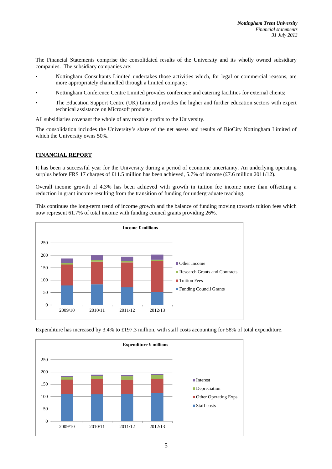The Financial Statements comprise the consolidated results of the University and its wholly owned subsidiary companies. The subsidiary companies are:

- Nottingham Consultants Limited undertakes those activities which, for legal or commercial reasons, are more appropriately channelled through a limited company;
- Nottingham Conference Centre Limited provides conference and catering facilities for external clients;
- The Education Support Centre (UK) Limited provides the higher and further education sectors with expert technical assistance on Microsoft products.

All subsidiaries covenant the whole of any taxable profits to the University.

The consolidation includes the University's share of the net assets and results of BioCity Nottingham Limited of which the University owns 50%.

# **FINANCIAL REPORT**

It has been a successful year for the University during a period of economic uncertainty. An underlying operating surplus before FRS 17 charges of £11.5 million has been achieved, 5.7% of income (£7.6 million 2011/12).

Overall income growth of 4.3% has been achieved with growth in tuition fee income more than offsetting a reduction in grant income resulting from the transition of funding for undergraduate teaching.

This continues the long-term trend of income growth and the balance of funding moving towards tuition fees which now represent 61.7% of total income with funding council grants providing 26%.





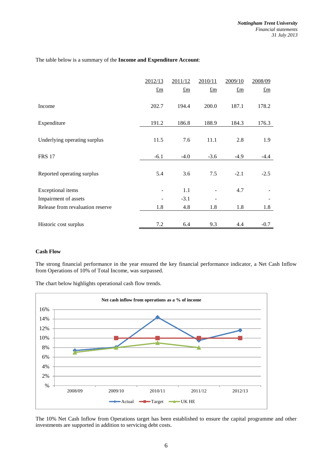The table below is a summary of the **Income and Expenditure Account**:

|                                  | 2012/13                               | 2011/12        | 2010/11                   | 2009/10                   | 2008/09                   |
|----------------------------------|---------------------------------------|----------------|---------------------------|---------------------------|---------------------------|
|                                  | $\underline{\underline{\mathrm{fm}}}$ | $f_{\text{m}}$ | $\underline{\mathrm{fm}}$ | $\underline{\mathrm{fm}}$ | $\underline{\mathrm{fm}}$ |
| Income                           | 202.7                                 | 194.4          | 200.0                     | 187.1                     | 178.2                     |
| Expenditure                      | 191.2                                 | 186.8          | 188.9                     | 184.3                     | 176.3                     |
| Underlying operating surplus     | 11.5                                  | 7.6            | 11.1                      | 2.8                       | 1.9                       |
| <b>FRS 17</b>                    | $-6.1$                                | $-4.0$         | $-3.6$                    | $-4.9$                    | $-4.4$                    |
| Reported operating surplus       | 5.4                                   | 3.6            | 7.5                       | $-2.1$                    | $-2.5$                    |
| Exceptional items                |                                       | 1.1            |                           | 4.7                       |                           |
| Impairment of assets             |                                       | $-3.1$         |                           |                           |                           |
| Release from revaluation reserve | 1.8                                   | 4.8            | 1.8                       | 1.8                       | 1.8                       |
| Historic cost surplus            | 7.2                                   | 6.4            | 9.3                       | 4.4                       | $-0.7$                    |
|                                  |                                       |                |                           |                           |                           |

## **Cash Flow**

The strong financial performance in the year ensured the key financial performance indicator, a Net Cash Inflow from Operations of 10% of Total Income, was surpassed.

The chart below highlights operational cash flow trends.



The 10% Net Cash Inflow from Operations target has been established to ensure the capital programme and other investments are supported in addition to servicing debt costs.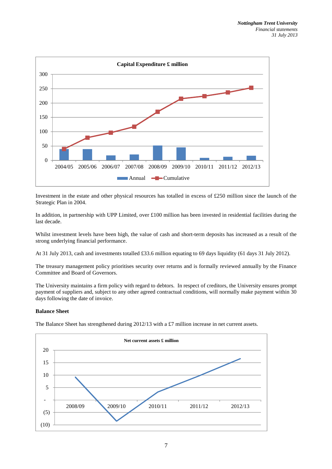

Investment in the estate and other physical resources has totalled in excess of £250 million since the launch of the Strategic Plan in 2004.

In addition, in partnership with UPP Limited, over £100 million has been invested in residential facilities during the last decade.

Whilst investment levels have been high, the value of cash and short-term deposits has increased as a result of the strong underlying financial performance.

At 31 July 2013, cash and investments totalled £33.6 million equating to 69 days liquidity (61 days 31 July 2012).

The treasury management policy prioritises security over returns and is formally reviewed annually by the Finance Committee and Board of Governors.

The University maintains a firm policy with regard to debtors. In respect of creditors, the University ensures prompt payment of suppliers and, subject to any other agreed contractual conditions, will normally make payment within 30 days following the date of invoice.

## **Balance Sheet**

The Balance Sheet has strengthened during  $2012/13$  with a £7 million increase in net current assets.

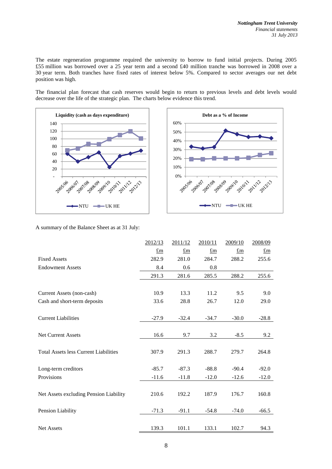The estate regeneration programme required the university to borrow to fund initial projects. During 2005 £55 million was borrowed over a 25 year term and a second £40 million tranche was borrowed in 2008 over a 30 year term. Both tranches have fixed rates of interest below 5%. Compared to sector averages our net debt position was high.

The financial plan forecast that cash reserves would begin to return to previous levels and debt levels would decrease over the life of the strategic plan. The charts below evidence this trend.





A summary of the Balance Sheet as at 31 July:

|                                              | 2012/13     | 2011/12     | 2010/11     | 2009/10     | 2008/09                               |
|----------------------------------------------|-------------|-------------|-------------|-------------|---------------------------------------|
|                                              | $\pounds$ m | $\pounds$ m | $\pounds$ m | $\pounds$ m | $\underline{\underline{\mathrm{fm}}}$ |
| <b>Fixed Assets</b>                          | 282.9       | 281.0       | 284.7       | 288.2       | 255.6                                 |
| <b>Endowment Assets</b>                      | 8.4         | 0.6         | 0.8         |             |                                       |
|                                              | 291.3       | 281.6       | 285.5       | 288.2       | 255.6                                 |
|                                              |             |             |             |             |                                       |
| Current Assets (non-cash)                    | 10.9        | 13.3        | 11.2        | 9.5         | 9.0                                   |
| Cash and short-term deposits                 | 33.6        | 28.8        | 26.7        | 12.0        | 29.0                                  |
|                                              |             |             |             |             |                                       |
| <b>Current Liabilities</b>                   | $-27.9$     | $-32.4$     | $-34.7$     | $-30.0$     | $-28.8$                               |
|                                              |             |             |             |             |                                       |
| Net Current Assets                           | 16.6        | 9.7         | 3.2         | $-8.5$      | 9.2                                   |
|                                              |             |             |             |             |                                       |
| <b>Total Assets less Current Liabilities</b> | 307.9       | 291.3       | 288.7       | 279.7       | 264.8                                 |
|                                              |             |             |             |             |                                       |
| Long-term creditors                          | $-85.7$     | $-87.3$     | $-88.8$     | $-90.4$     | $-92.0$                               |
| Provisions                                   | $-11.6$     | $-11.8$     | $-12.0$     | $-12.6$     | $-12.0$                               |
|                                              |             |             |             |             |                                       |
| Net Assets excluding Pension Liability       | 210.6       | 192.2       | 187.9       | 176.7       | 160.8                                 |
|                                              |             |             |             |             |                                       |
| Pension Liability                            | $-71.3$     | $-91.1$     | $-54.8$     | $-74.0$     | $-66.5$                               |
|                                              |             |             |             |             |                                       |
| <b>Net Assets</b>                            | 139.3       | 101.1       | 133.1       | 102.7       | 94.3                                  |
|                                              |             |             |             |             |                                       |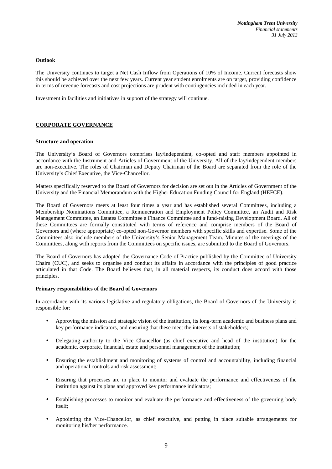### **Outlook**

The University continues to target a Net Cash Inflow from Operations of 10% of Income. Current forecasts show this should be achieved over the next few years. Current year student enrolments are on target, providing confidence in terms of revenue forecasts and cost projections are prudent with contingencies included in each year.

Investment in facilities and initiatives in support of the strategy will continue.

## **CORPORATE GOVERNANCE**

### **Structure and operation**

The University's Board of Governors comprises lay/independent, co-opted and staff members appointed in accordance with the Instrument and Articles of Government of the University. All of the lay/independent members are non-executive. The roles of Chairman and Deputy Chairman of the Board are separated from the role of the University's Chief Executive, the Vice-Chancellor.

Matters specifically reserved to the Board of Governors for decision are set out in the Articles of Government of the University and the Financial Memorandum with the Higher Education Funding Council for England (HEFCE).

The Board of Governors meets at least four times a year and has established several Committees, including a Membership Nominations Committee, a Remuneration and Employment Policy Committee, an Audit and Risk Management Committee, an Estates Committee a Finance Committee and a fund-raising Development Board. All of these Committees are formally constituted with terms of reference and comprise members of the Board of Governors and (where appropriate) co-opted non-Governor members with specific skills and expertise. Some of the Committees also include members of the University's Senior Management Team. Minutes of the meetings of the Committees, along with reports from the Committees on specific issues, are submitted to the Board of Governors.

The Board of Governors has adopted the Governance Code of Practice published by the Committee of University Chairs (CUC), and seeks to organise and conduct its affairs in accordance with the principles of good practice articulated in that Code. The Board believes that, in all material respects, its conduct does accord with those principles.

### **Primary responsibilities of the Board of Governors**

In accordance with its various legislative and regulatory obligations, the Board of Governors of the University is responsible for:

- Approving the mission and strategic vision of the institution, its long-term academic and business plans and key performance indicators, and ensuring that these meet the interests of stakeholders;
- Delegating authority to the Vice Chancellor (as chief executive and head of the institution) for the academic, corporate, financial, estate and personnel management of the institution;
- Ensuring the establishment and monitoring of systems of control and accountability, including financial and operational controls and risk assessment;
- Ensuring that processes are in place to monitor and evaluate the performance and effectiveness of the institution against its plans and approved key performance indicators;
- Establishing processes to monitor and evaluate the performance and effectiveness of the governing body itself;
- Appointing the Vice-Chancellor, as chief executive, and putting in place suitable arrangements for monitoring his/her performance.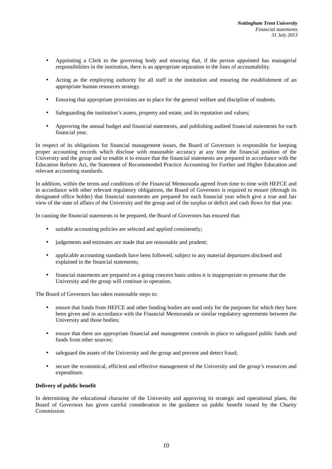- Appointing a Clerk to the governing body and ensuring that, if the person appointed has managerial responsibilities in the institution, there is an appropriate separation in the lines of accountability.
- Acting as the employing authority for all staff in the institution and ensuring the establishment of an appropriate human resources strategy.
- Ensuring that appropriate provisions are in place for the general welfare and discipline of students.
- Safeguarding the institution's assets, property and estate, and its reputation and values;
- Approving the annual budget and financial statements, and publishing audited financial statements for each financial year.

In respect of its obligations for financial management issues, the Board of Governors is responsible for keeping proper accounting records which disclose with reasonable accuracy at any time the financial position of the University and the group and to enable it to ensure that the financial statements are prepared in accordance with the Education Reform Act, the Statement of Recommended Practice Accounting for Further and Higher Education and relevant accounting standards.

In addition, within the terms and conditions of the Financial Memoranda agreed from time to time with HEFCE and in accordance with other relevant regulatory obligations, the Board of Governors is required to ensure (through its designated office holder) that financial statements are prepared for each financial year which give a true and fair view of the state of affairs of the University and the group and of the surplus or deficit and cash flows for that year.

In causing the financial statements to be prepared, the Board of Governors has ensured that:

- suitable accounting policies are selected and applied consistently;
- judgements and estimates are made that are reasonable and prudent;
- applicable accounting standards have been followed, subject to any material departures disclosed and explained in the financial statements;
- financial statements are prepared on a going concern basis unless it is inappropriate to presume that the University and the group will continue in operation.

The Board of Governors has taken reasonable steps to:

- ensure that funds from HEFCE and other funding bodies are used only for the purposes for which they have been given and in accordance with the Financial Memoranda or similar regulatory agreements between the University and those bodies;
- ensure that there are appropriate financial and management controls in place to safeguard public funds and funds from other sources;
- safeguard the assets of the University and the group and prevent and detect fraud;
- secure the economical, efficient and effective management of the University and the group's resources and expenditure.

## **Delivery of public benefit**

In determining the educational character of the University and approving its strategic and operational plans, the Board of Governors has given careful consideration to the guidance on public benefit issued by the Charity Commission.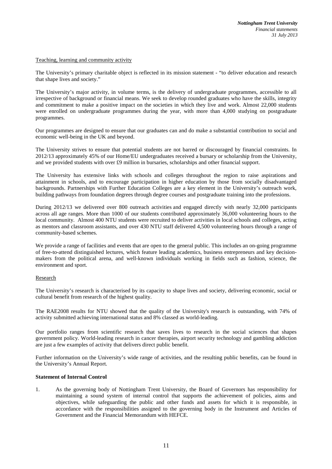### Teaching, learning and community activity

The University's primary charitable object is reflected in its mission statement - "to deliver education and research that shape lives and society."

The University's major activity, in volume terms, is the delivery of undergraduate programmes, accessible to all irrespective of background or financial means. We seek to develop rounded graduates who have the skills, integrity and commitment to make a positive impact on the societies in which they live and work. Almost 22,000 students were enrolled on undergraduate programmes during the year, with more than 4,000 studying on postgraduate programmes.

Our programmes are designed to ensure that our graduates can and do make a substantial contribution to social and economic well-being in the UK and beyond.

The University strives to ensure that potential students are not barred or discouraged by financial constraints. In 2012/13 approximately 45% of our Home/EU undergraduates received a bursary or scholarship from the University, and we provided students with over £9 million in bursaries, scholarships and other financial support.

The University has extensive links with schools and colleges throughout the region to raise aspirations and attainment in schools, and to encourage participation in higher education by those from socially disadvantaged backgrounds. Partnerships with Further Education Colleges are a key element in the University's outreach work, building pathways from foundation degrees through degree courses and postgraduate training into the professions.

During 2012/13 we delivered over 800 outreach activities and engaged directly with nearly 32,000 participants across all age ranges. More than 1000 of our students contributed approximately 36,000 volunteering hours to the local community. Almost 400 NTU students were recruited to deliver activities in local schools and colleges, acting as mentors and classroom assistants, and over 430 NTU staff delivered 4,500 volunteering hours through a range of community-based schemes.

We provide a range of facilities and events that are open to the general public. This includes an on-going programme of free-to-attend distinguished lectures, which feature leading academics, business entrepreneurs and key decisionmakers from the political arena, and well-known individuals working in fields such as fashion, science, the environment and sport.

## Research

The University's research is characterised by its capacity to shape lives and society, delivering economic, social or cultural benefit from research of the highest quality.

The RAE2008 results for NTU showed that the quality of the University's research is outstanding, with 74% of activity submitted achieving international status and 8% classed as world-leading.

Our portfolio ranges from scientific research that saves lives to research in the social sciences that shapes government policy. World-leading research in cancer therapies, airport security technology and gambling addiction are just a few examples of activity that delivers direct public benefit.

Further information on the University's wide range of activities, and the resulting public benefits, can be found in the University's Annual Report.

### **Statement of Internal Control**

1. As the governing body of Nottingham Trent University, the Board of Governors has responsibility for maintaining a sound system of internal control that supports the achievement of policies, aims and objectives, while safeguarding the public and other funds and assets for which it is responsible, in accordance with the responsibilities assigned to the governing body in the Instrument and Articles of Government and the Financial Memorandum with HEFCE.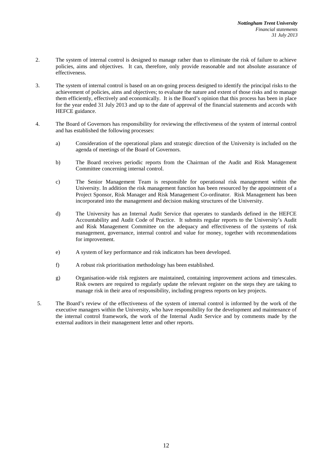- 2. The system of internal control is designed to manage rather than to eliminate the risk of failure to achieve policies, aims and objectives. It can, therefore, only provide reasonable and not absolute assurance of effectiveness.
- 3. The system of internal control is based on an on-going process designed to identify the principal risks to the achievement of policies, aims and objectives; to evaluate the nature and extent of those risks and to manage them efficiently, effectively and economically. It is the Board's opinion that this process has been in place for the year ended 31 July 2013 and up to the date of approval of the financial statements and accords with HEFCE guidance.
- 4. The Board of Governors has responsibility for reviewing the effectiveness of the system of internal control and has established the following processes:
	- a) Consideration of the operational plans and strategic direction of the University is included on the agenda of meetings of the Board of Governors.
	- b) The Board receives periodic reports from the Chairman of the Audit and Risk Management Committee concerning internal control.
	- c) The Senior Management Team is responsible for operational risk management within the University. In addition the risk management function has been resourced by the appointment of a Project Sponsor, Risk Manager and Risk Management Co-ordinator. Risk Management has been incorporated into the management and decision making structures of the University.
	- d) The University has an Internal Audit Service that operates to standards defined in the HEFCE Accountability and Audit Code of Practice. It submits regular reports to the University's Audit and Risk Management Committee on the adequacy and effectiveness of the systems of risk management, governance, internal control and value for money, together with recommendations for improvement.
	- e) A system of key performance and risk indicators has been developed.
	- f) A robust risk prioritisation methodology has been established.
	- g) Organisation-wide risk registers are maintained, containing improvement actions and timescales. Risk owners are required to regularly update the relevant register on the steps they are taking to manage risk in their area of responsibility, including progress reports on key projects.
- 5. The Board's review of the effectiveness of the system of internal control is informed by the work of the executive managers within the University, who have responsibility for the development and maintenance of the internal control framework, the work of the Internal Audit Service and by comments made by the external auditors in their management letter and other reports.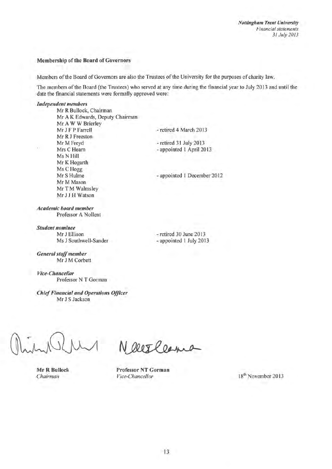## Membership of the Board of Governors

Members of the Board of Governors are also the Trustees of the University for the purposes of charity law.

The members of the Board (the Trustees) who served at any time during the financial year to July 2013 and until the date the financial statements were formally approved were:

## **Independent members**

w

Mr R Bullock, Chairman Mr A K Edwards, Deputy Chairman Mr A W W Brierley - retired 4 March 2013 Mr J F P Farrell Mr R J Freeston Mr M Freyd Mrs C Hearn Ms N Hill Mr K Hogarth Ms C Hogg Mr S Hulme Mr M Mason Mr T M Walmsley Mr J J H Watson

- retired 31 July 2013

- appointed 1 April 2013

- appointed 1 December 2012

**Academic board member** Professor A Nollent

**Student nominee** Mr J Ellison Ms J Southwell-Sander

- retired 30 June 2013 - appointed 1 July 2013

**General staff member** Mr J M Corbett

**Vice-Chancellor** Professor N T Gorman

**Chief Financial and Operations Officer** Mr J S Jackson

**Mr R Bullock** Chairman

NOOTPORING

**Professor NT Gorman** Vice-Chancellor

18<sup>th</sup> November 2013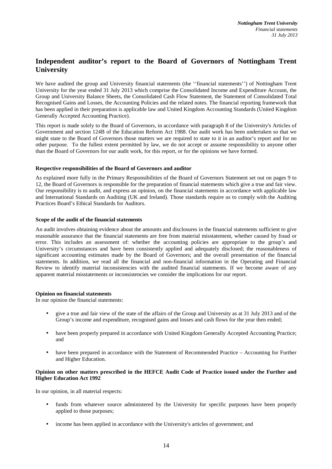# **Independent auditor's report to the Board of Governors of Nottingham Trent University**

We have audited the group and University financial statements (the ''financial statements'') of Nottingham Trent University for the year ended 31 July 2013 which comprise the Consolidated Income and Expenditure Account, the Group and University Balance Sheets, the Consolidated Cash Flow Statement, the Statement of Consolidated Total Recognised Gains and Losses, the Accounting Policies and the related notes. The financial reporting framework that has been applied in their preparation is applicable law and United Kingdom Accounting Standards (United Kingdom Generally Accepted Accounting Practice).

This report is made solely to the Board of Governors, in accordance with paragraph 8 of the University's Articles of Government and section 124B of the Education Reform Act 1988. Our audit work has been undertaken so that we might state to the Board of Governors those matters we are required to state to it in an auditor's report and for no other purpose. To the fullest extent permitted by law, we do not accept or assume responsibility to anyone other than the Board of Governors for our audit work, for this report, or for the opinions we have formed.

## **Respective responsibilities of the Board of Governors and auditor**

As explained more fully in the Primary Responsibilities of the Board of Governors Statement set out on pages 9 to 12, the Board of Governors is responsible for the preparation of financial statements which give a true and fair view. Our responsibility is to audit, and express an opinion, on the financial statements in accordance with applicable law and International Standards on Auditing (UK and Ireland). Those standards require us to comply with the Auditing Practices Board's Ethical Standards for Auditors.

## **Scope of the audit of the financial statements**

An audit involves obtaining evidence about the amounts and disclosures in the financial statements sufficient to give reasonable assurance that the financial statements are free from material misstatement, whether caused by fraud or error. This includes an assessment of: whether the accounting policies are appropriate to the group's and University's circumstances and have been consistently applied and adequately disclosed; the reasonableness of significant accounting estimates made by the Board of Governors; and the overall presentation of the financial statements. In addition, we read all the financial and non-financial information in the Operating and Financial Review to identify material inconsistencies with the audited financial statements. If we become aware of any apparent material misstatements or inconsistencies we consider the implications for our report.

## **Opinion on financial statements**

In our opinion the financial statements:

- give a true and fair view of the state of the affairs of the Group and University as at 31 July 2013 and of the Group's income and expenditure, recognised gains and losses and cash flows for the year then ended;
- have been properly prepared in accordance with United Kingdom Generally Accepted Accounting Practice; and
- have been prepared in accordance with the Statement of Recommended Practice Accounting for Further and Higher Education.

# **Opinion on other matters prescribed in the HEFCE Audit Code of Practice issued under the Further and Higher Education Act 1992**

In our opinion, in all material respects:

- funds from whatever source administered by the University for specific purposes have been properly applied to those purposes;
- income has been applied in accordance with the University's articles of government; and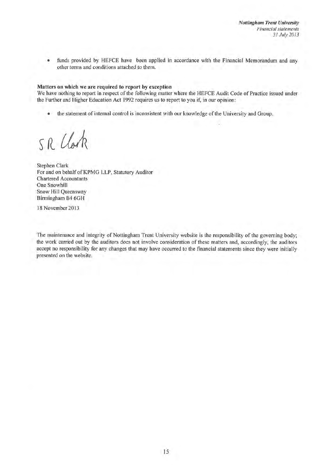funds provided by HEFCE have been applied in accordance with the Financial Memorandum and any ٠ other terms and conditions attached to them.

### Matters on which we are required to report by exception

We have nothing to report in respect of the following matter where the HEFCE Audit Code of Practice issued under the Further and Higher Education Act 1992 requires us to report to you if, in our opinion:

the statement of internal control is inconsistent with our knowledge of the University and Group.  $\bullet$ 

SR Clock

**Stephen Clark** For and on behalf of KPMG LLP, Statutory Auditor **Chartered Accountants** One Snowhill Snow Hill Queensway Birmingham B4 6GH

18 November 2013

The maintenance and integrity of Nottingham Trent University website is the responsibility of the governing body; the work carried out by the auditors does not involve consideration of these matters and, accordingly, the auditors accept no responsibility for any changes that may have occurred to the financial statements since they were initially presented on the website.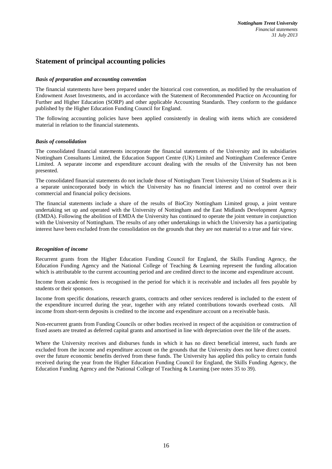# **Statement of principal accounting policies**

## *Basis of preparation and accounting convention*

The financial statements have been prepared under the historical cost convention, as modified by the revaluation of Endowment Asset Investments, and in accordance with the Statement of Recommended Practice on Accounting for Further and Higher Education (SORP) and other applicable Accounting Standards. They conform to the guidance published by the Higher Education Funding Council for England.

The following accounting policies have been applied consistently in dealing with items which are considered material in relation to the financial statements.

### *Basis of consolidation*

The consolidated financial statements incorporate the financial statements of the University and its subsidiaries Nottingham Consultants Limited, the Education Support Centre (UK) Limited and Nottingham Conference Centre Limited. A separate income and expenditure account dealing with the results of the University has not been presented.

The consolidated financial statements do not include those of Nottingham Trent University Union of Students as it is a separate unincorporated body in which the University has no financial interest and no control over their commercial and financial policy decisions.

The financial statements include a share of the results of BioCity Nottingham Limited group, a joint venture undertaking set up and operated with the University of Nottingham and the East Midlands Development Agency (EMDA). Following the abolition of EMDA the University has continued to operate the joint venture in conjunction with the University of Nottingham. The results of any other undertakings in which the University has a participating interest have been excluded from the consolidation on the grounds that they are not material to a true and fair view.

### *Recognition of income*

Recurrent grants from the Higher Education Funding Council for England, the Skills Funding Agency, the Education Funding Agency and the National College of Teaching & Learning represent the funding allocation which is attributable to the current accounting period and are credited direct to the income and expenditure account.

Income from academic fees is recognised in the period for which it is receivable and includes all fees payable by students or their sponsors.

Income from specific donations, research grants, contracts and other services rendered is included to the extent of the expenditure incurred during the year, together with any related contributions towards overhead costs. All income from short-term deposits is credited to the income and expenditure account on a receivable basis.

Non-recurrent grants from Funding Councils or other bodies received in respect of the acquisition or construction of fixed assets are treated as deferred capital grants and amortised in line with depreciation over the life of the assets.

Where the University receives and disburses funds in which it has no direct beneficial interest, such funds are excluded from the income and expenditure account on the grounds that the University does not have direct control over the future economic benefits derived from these funds. The University has applied this policy to certain funds received during the year from the Higher Education Funding Council for England, the Skills Funding Agency, the Education Funding Agency and the National College of Teaching & Learning (see notes 35 to 39).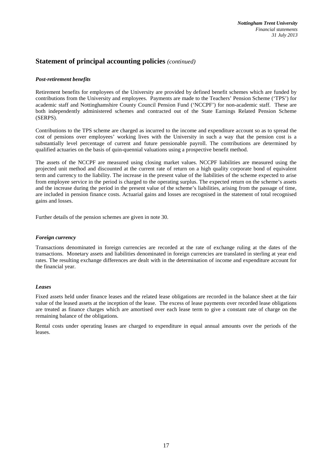# **Statement of principal accounting policies** *(continued)*

# *Post-retirement benefits*

Retirement benefits for employees of the University are provided by defined benefit schemes which are funded by contributions from the University and employees. Payments are made to the Teachers' Pension Scheme ('TPS') for academic staff and Nottinghamshire County Council Pension Fund ('NCCPF') for non-academic staff. These are both independently administered schemes and contracted out of the State Earnings Related Pension Scheme (SERPS).

Contributions to the TPS scheme are charged as incurred to the income and expenditure account so as to spread the cost of pensions over employees' working lives with the University in such a way that the pension cost is a substantially level percentage of current and future pensionable payroll. The contributions are determined by qualified actuaries on the basis of quin-quennial valuations using a prospective benefit method.

The assets of the NCCPF are measured using closing market values. NCCPF liabilities are measured using the projected unit method and discounted at the current rate of return on a high quality corporate bond of equivalent term and currency to the liability. The increase in the present value of the liabilities of the scheme expected to arise from employee service in the period is charged to the operating surplus. The expected return on the scheme's assets and the increase during the period in the present value of the scheme's liabilities, arising from the passage of time, are included in pension finance costs. Actuarial gains and losses are recognised in the statement of total recognised gains and losses.

Further details of the pension schemes are given in note 30.

## *Foreign currency*

Transactions denominated in foreign currencies are recorded at the rate of exchange ruling at the dates of the transactions. Monetary assets and liabilities denominated in foreign currencies are translated in sterling at year end rates. The resulting exchange differences are dealt with in the determination of income and expenditure account for the financial year.

## *Leases*

Fixed assets held under finance leases and the related lease obligations are recorded in the balance sheet at the fair value of the leased assets at the inception of the lease. The excess of lease payments over recorded lease obligations are treated as finance charges which are amortised over each lease term to give a constant rate of charge on the remaining balance of the obligations.

Rental costs under operating leases are charged to expenditure in equal annual amounts over the periods of the leases.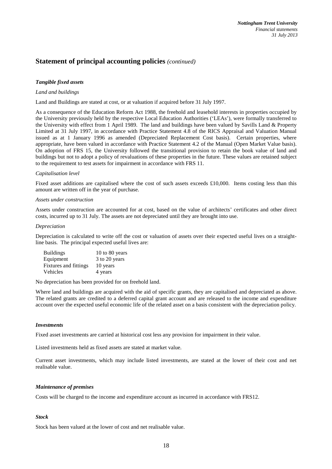# **Statement of principal accounting policies** *(continued)*

## *Tangible fixed assets*

## *Land and buildings*

Land and Buildings are stated at cost, or at valuation if acquired before 31 July 1997.

As a consequence of the Education Reform Act 1988, the freehold and leasehold interests in properties occupied by the University previously held by the respective Local Education Authorities ('LEAs'), were formally transferred to the University with effect from 1 April 1989. The land and buildings have been valued by Savills Land & Property Limited at 31 July 1997, in accordance with Practice Statement 4.8 of the RICS Appraisal and Valuation Manual issued as at 1 January 1996 as amended (Depreciated Replacement Cost basis). Certain properties, where appropriate, have been valued in accordance with Practice Statement 4.2 of the Manual (Open Market Value basis). On adoption of FRS 15, the University followed the transitional provision to retain the book value of land and buildings but not to adopt a policy of revaluations of these properties in the future. These values are retained subject to the requirement to test assets for impairment in accordance with FRS 11.

## *Capitalisation level*

Fixed asset additions are capitalised where the cost of such assets exceeds £10,000. Items costing less than this amount are written off in the year of purchase.

### *Assets under construction*

Assets under construction are accounted for at cost, based on the value of architects' certificates and other direct costs, incurred up to 31 July. The assets are not depreciated until they are brought into use.

### *Depreciation*

Depreciation is calculated to write off the cost or valuation of assets over their expected useful lives on a straightline basis. The principal expected useful lives are:

| <b>Buildings</b>      | 10 to 80 years |
|-----------------------|----------------|
| Equipment             | 3 to 20 years  |
| Fixtures and fittings | 10 years       |
| Vehicles              | 4 years        |

No depreciation has been provided for on freehold land.

Where land and buildings are acquired with the aid of specific grants, they are capitalised and depreciated as above. The related grants are credited to a deferred capital grant account and are released to the income and expenditure account over the expected useful economic life of the related asset on a basis consistent with the depreciation policy.

### *Investments*

Fixed asset investments are carried at historical cost less any provision for impairment in their value.

Listed investments held as fixed assets are stated at market value.

Current asset investments, which may include listed investments, are stated at the lower of their cost and net realisable value.

## *Maintenance of premises*

Costs will be charged to the income and expenditure account as incurred in accordance with FRS12.

### *Stock*

Stock has been valued at the lower of cost and net realisable value.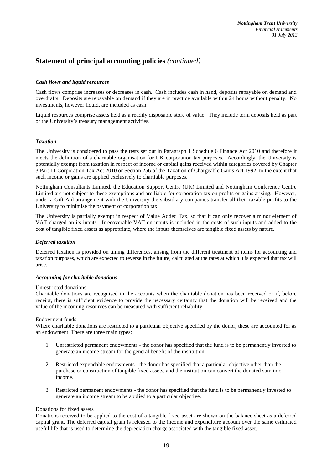# **Statement of principal accounting policies** *(continued)*

# *Cash flows and liquid resources*

Cash flows comprise increases or decreases in cash. Cash includes cash in hand, deposits repayable on demand and overdrafts. Deposits are repayable on demand if they are in practice available within 24 hours without penalty. No investments, however liquid, are included as cash.

Liquid resources comprise assets held as a readily disposable store of value. They include term deposits held as part of the University's treasury management activities.

## *Taxation*

The University is considered to pass the tests set out in Paragraph 1 Schedule 6 Finance Act 2010 and therefore it meets the definition of a charitable organisation for UK corporation tax purposes. Accordingly, the University is potentially exempt from taxation in respect of income or capital gains received within categories covered by Chapter 3 Part 11 Corporation Tax Act 2010 or Section 256 of the Taxation of Chargeable Gains Act 1992, to the extent that such income or gains are applied exclusively to charitable purposes.

Nottingham Consultants Limited, the Education Support Centre (UK) Limited and Nottingham Conference Centre Limited are not subject to these exemptions and are liable for corporation tax on profits or gains arising. However, under a Gift Aid arrangement with the University the subsidiary companies transfer all their taxable profits to the University to minimise the payment of corporation tax.

The University is partially exempt in respect of Value Added Tax, so that it can only recover a minor element of VAT charged on its inputs. Irrecoverable VAT on inputs is included in the costs of such inputs and added to the cost of tangible fixed assets as appropriate, where the inputs themselves are tangible fixed assets by nature.

## *Deferred taxation*

Deferred taxation is provided on timing differences, arising from the different treatment of items for accounting and taxation purposes, which are expected to reverse in the future, calculated at the rates at which it is expected that tax will arise.

### *Accounting for charitable donations*

### Unrestricted donations

Charitable donations are recognised in the accounts when the charitable donation has been received or if, before receipt, there is sufficient evidence to provide the necessary certainty that the donation will be received and the value of the incoming resources can be measured with sufficient reliability.

### Endowment funds

Where charitable donations are restricted to a particular objective specified by the donor, these are accounted for as an endowment. There are three main types:

- 1. Unrestricted permanent endowments the donor has specified that the fund is to be permanently invested to generate an income stream for the general benefit of the institution.
- 2. Restricted expendable endowments the donor has specified that a particular objective other than the purchase or construction of tangible fixed assets, and the institution can convert the donated sum into income.
- 3. Restricted permanent endowments the donor has specified that the fund is to be permanently invested to generate an income stream to be applied to a particular objective.

### Donations for fixed assets

Donations received to be applied to the cost of a tangible fixed asset are shown on the balance sheet as a deferred capital grant. The deferred capital grant is released to the income and expenditure account over the same estimated useful life that is used to determine the depreciation charge associated with the tangible fixed asset.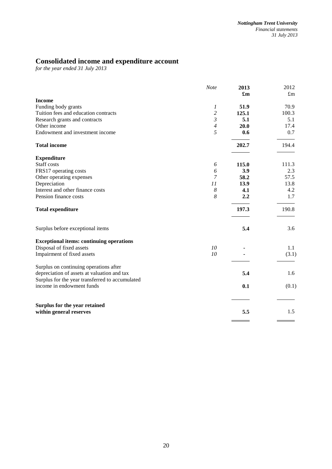# **Consolidated income and expenditure account**

*for the year ended 31 July 2013* 

|                                                          | Note           | 2013  | 2012        |
|----------------------------------------------------------|----------------|-------|-------------|
|                                                          |                | £m    | $\pounds$ m |
| <b>Income</b>                                            |                |       |             |
| Funding body grants                                      | 1              | 51.9  | 70.9        |
| Tuition fees and education contracts                     | $\overline{c}$ | 125.1 | 100.3       |
| Research grants and contracts                            | $\mathfrak{Z}$ | 5.1   | 5.1         |
| Other income                                             | $\overline{4}$ | 20.0  | 17.4        |
| Endowment and investment income                          | 5              | 0.6   | 0.7         |
| <b>Total income</b>                                      |                | 202.7 | 194.4       |
| <b>Expenditure</b>                                       |                |       |             |
| Staff costs                                              | 6              | 115.0 | 111.3       |
| FRS17 operating costs                                    | 6              | 3.9   | 2.3         |
| Other operating expenses                                 | $\overline{7}$ | 58.2  | 57.5        |
| Depreciation                                             | 11             | 13.9  | 13.8        |
| Interest and other finance costs                         | 8              | 4.1   | 4.2         |
| Pension finance costs                                    | 8              | 2.2   | 1.7         |
| <b>Total expenditure</b>                                 |                | 197.3 | 190.8       |
| Surplus before exceptional items                         |                | 5.4   | 3.6         |
| <b>Exceptional items: continuing operations</b>          |                |       |             |
| Disposal of fixed assets                                 | 10             |       | 1.1         |
| Impairment of fixed assets                               | 10             |       | (3.1)       |
| Surplus on continuing operations after                   |                |       |             |
| depreciation of assets at valuation and tax              |                | 5.4   | 1.6         |
| Surplus for the year transferred to accumulated          |                |       |             |
| income in endowment funds                                |                | 0.1   | (0.1)       |
|                                                          |                |       |             |
| Surplus for the year retained<br>within general reserves |                | 5.5   | 1.5         |
|                                                          |                |       |             |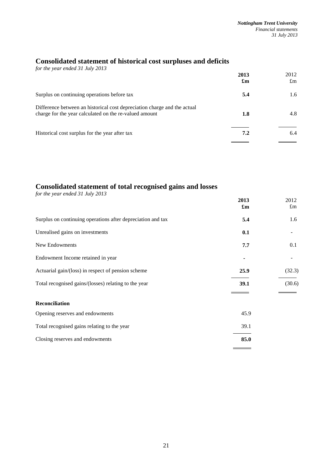# **Consolidated statement of historical cost surpluses and deficits**

| for the year ended 31 July 2013                                                                                                    | 2013<br>$\mathbf{f}_{\mathbf{m}}$ | 2012<br>$\pounds$ m |
|------------------------------------------------------------------------------------------------------------------------------------|-----------------------------------|---------------------|
| Surplus on continuing operations before tax                                                                                        | 5.4                               | 1.6                 |
| Difference between an historical cost depreciation charge and the actual<br>charge for the year calculated on the re-valued amount | 1.8                               | 4.8                 |
| Historical cost surplus for the year after tax                                                                                     | 7.2                               | 6.4                 |
|                                                                                                                                    |                                   |                     |

# **Consolidated statement of total recognised gains and losses**

| for the year ended 31 July 2013                             |                                   |                     |
|-------------------------------------------------------------|-----------------------------------|---------------------|
|                                                             | 2013<br>$\mathbf{f}_{\mathbf{m}}$ | 2012<br>$\pounds$ m |
| Surplus on continuing operations after depreciation and tax | 5.4                               | 1.6                 |
| Unrealised gains on investments                             | 0.1                               |                     |
| New Endowments                                              | 7.7                               | 0.1                 |
| Endowment Income retained in year                           |                                   |                     |
| Actuarial gain/(loss) in respect of pension scheme          | 25.9                              | (32.3)              |
| Total recognised gains/(losses) relating to the year        | 39.1                              | (30.6)              |
|                                                             |                                   |                     |
| <b>Reconciliation</b>                                       |                                   |                     |
| Opening reserves and endowments                             | 45.9                              |                     |
| Total recognised gains relating to the year                 | 39.1                              |                     |
| Closing reserves and endowments                             | 85.0                              |                     |

 $\overline{\phantom{0}}$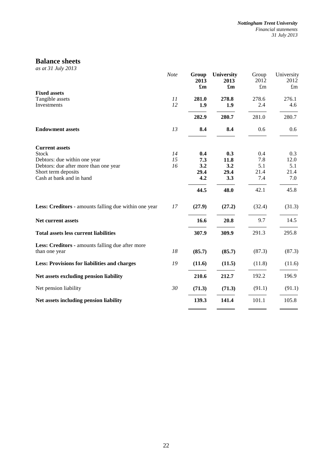# **Balance sheets**

*as at 31 July 2013* 

|                                                       | Note | Group<br>2013<br>$\mathbf{f}_{\mathbf{m}}$ | <b>University</b><br>2013<br>$\mathbf{f}_{\mathbf{m}}$ | Group<br>2012<br>$\pounds$ m | University<br>2012<br>$\pounds$ m |
|-------------------------------------------------------|------|--------------------------------------------|--------------------------------------------------------|------------------------------|-----------------------------------|
| <b>Fixed assets</b>                                   |      |                                            |                                                        |                              |                                   |
| Tangible assets                                       | 11   | 281.0                                      | 278.8                                                  | 278.6                        | 276.1                             |
| Investments                                           | 12   | 1.9                                        | 1.9                                                    | 2.4                          | 4.6                               |
|                                                       |      | 282.9                                      | 280.7                                                  | 281.0                        | 280.7                             |
| <b>Endowment assets</b>                               | 13   | 8.4                                        | 8.4                                                    | 0.6                          | 0.6                               |
| <b>Current assets</b>                                 |      |                                            |                                                        |                              |                                   |
| <b>Stock</b>                                          | 14   | 0.4                                        | 0.3                                                    | 0.4                          | 0.3                               |
| Debtors: due within one year                          | 15   | 7.3                                        | 11.8                                                   | 7.8                          | 12.0                              |
| Debtors: due after more than one year                 | 16   | 3.2                                        | 3.2                                                    | 5.1                          | 5.1                               |
| Short term deposits<br>Cash at bank and in hand       |      | 29.4<br>4.2                                | 29.4<br>3.3                                            | 21.4<br>7.4                  | 21.4<br>7.0                       |
|                                                       |      |                                            |                                                        |                              |                                   |
|                                                       |      | 44.5                                       | 48.0                                                   | 42.1                         | 45.8                              |
| Less: Creditors - amounts falling due within one year | 17   | (27.9)                                     | (27.2)                                                 | (32.4)                       | (31.3)                            |
| Net current assets                                    |      | 16.6                                       | 20.8                                                   | 9.7                          | 14.5                              |
| <b>Total assets less current liabilities</b>          |      | 307.9                                      | 309.9                                                  | 291.3                        | 295.8                             |
| Less: Creditors - amounts falling due after more      |      |                                            |                                                        |                              |                                   |
| than one year                                         | 18   | (85.7)                                     | (85.7)                                                 | (87.3)                       | (87.3)                            |
| <b>Less: Provisions for liabilities and charges</b>   | 19   | (11.6)                                     | (11.5)                                                 | (11.8)                       | (11.6)                            |
| Net assets excluding pension liability                |      | 210.6                                      | 212.7                                                  | 192.2                        | 196.9                             |
| Net pension liability                                 | 30   | (71.3)                                     | (71.3)                                                 | (91.1)                       | (91.1)                            |
| Net assets including pension liability                |      | 139.3                                      | 141.4                                                  | 101.1                        | 105.8                             |
|                                                       |      |                                            |                                                        |                              |                                   |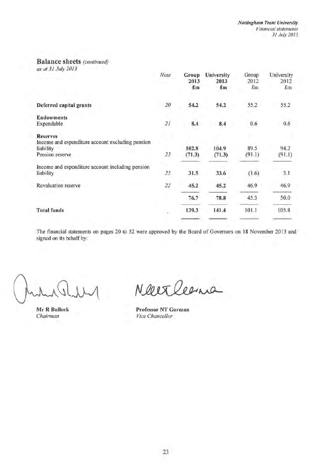# **Balance sheets (continued)**

as at 31 July 2013

|                                                                                                     | Note | Group<br>2013<br>$\pounds$ m | University<br>2013<br>£m | Group<br>2012<br>$f_{\rm m}$ | University<br>2012<br>£m |
|-----------------------------------------------------------------------------------------------------|------|------------------------------|--------------------------|------------------------------|--------------------------|
| Deferred capital grants                                                                             | 20   | 54.2                         | 54.2                     | 55.2                         | 55.2                     |
| <b>Endowments</b><br>Expendable                                                                     | 2I   | 8.4                          | 8.4                      | 0.6                          | 0.6                      |
| <b>Reserves</b><br>Income and expenditure account excluding pension<br>liability<br>Pension reserve | 23   | 102.8<br>(71.3)              | 104.9<br>(71.3)          | 89.5<br>(91.1)               | 94.2<br>(91.1)           |
| Income and expenditure account including pension<br>liability                                       | 23   | 31.5                         | 33.6                     | (1.6)                        | 3.1                      |
| <b>Revaluation reserve</b>                                                                          | 22   | 45.2                         | 45.2                     | 46.9                         | 46.9                     |
|                                                                                                     |      | 76.7                         | 78.8                     | 45.3                         | 50.0                     |
| <b>Total funds</b>                                                                                  |      | 139.3                        | 141.4                    | 101.1                        | 105.8                    |
|                                                                                                     |      |                              |                          |                              |                          |

The financial statements on pages 20 to 52 were approved by the Board of Governors on 18 November 2013 and signed on its behalf by:

Mr R Bullock Chairman

Neerleens

**Professor NT Gorman** Vice Chancellor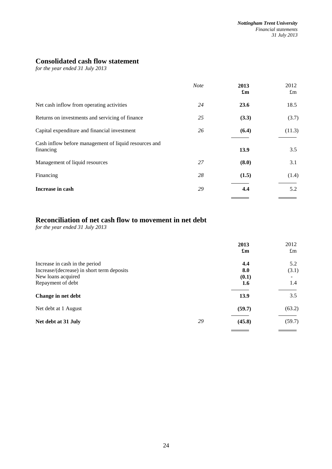# **Consolidated cash flow statement**

*for the year ended 31 July 2013* 

|                                                                    | <b>Note</b> | 2013<br>$\mathbf{f}_{\mathbf{m}}$ | 2012<br>$\pounds$ m |
|--------------------------------------------------------------------|-------------|-----------------------------------|---------------------|
| Net cash inflow from operating activities                          | 24          | 23.6                              | 18.5                |
| Returns on investments and servicing of finance                    | 25          | (3.3)                             | (3.7)               |
| Capital expenditure and financial investment                       | 26          | (6.4)                             | (11.3)              |
| Cash inflow before management of liquid resources and<br>financing |             | 13.9                              | 3.5                 |
| Management of liquid resources                                     | 27          | (8.0)                             | 3.1                 |
| Financing                                                          | 28          | (1.5)                             | (1.4)               |
| Increase in cash                                                   | 29          | 4.4                               | 5.2                 |

# **Reconciliation of net cash flow to movement in net debt**

*for the year ended 31 July 2013* 

|                                            |    | 2013<br>$\mathbf{f}_{\mathbf{m}}$ | 2012<br>$\pounds$ m      |
|--------------------------------------------|----|-----------------------------------|--------------------------|
| Increase in cash in the period             |    | 4.4                               | 5.2                      |
| Increase/(decrease) in short term deposits |    | 8.0                               | (3.1)                    |
| New loans acquired                         |    | (0.1)                             | $\overline{\phantom{a}}$ |
| Repayment of debt                          |    | 1.6                               | 1.4                      |
| Change in net debt                         |    | 13.9                              | 3.5                      |
| Net debt at 1 August                       |    | (59.7)                            | (63.2)                   |
| Net debt at 31 July                        | 29 | (45.8)                            | (59.7)                   |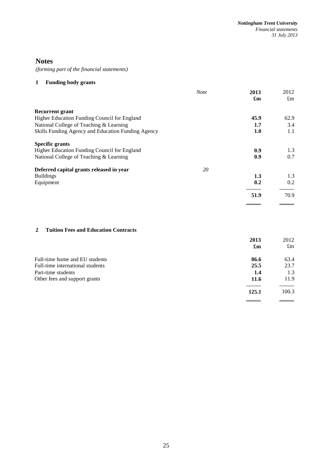# **Notes**

*(forming part of the financial statements)*

# **1 Funding body grants**

|                                                    | <b>Note</b> | 2013<br>$\mathbf{f}_{\mathbf{m}}$ | 2012<br>$\pounds$ m |
|----------------------------------------------------|-------------|-----------------------------------|---------------------|
| <b>Recurrent grant</b>                             |             |                                   |                     |
| Higher Education Funding Council for England       |             | 45.9                              | 62.9                |
| National College of Teaching & Learning            |             | 1.7                               | 3.4                 |
| Skills Funding Agency and Education Funding Agency |             | 1.0                               | 1.1                 |
| <b>Specific grants</b>                             |             |                                   |                     |
| Higher Education Funding Council for England       |             | 0.9                               | 1.3                 |
| National College of Teaching & Learning            |             | 0.9                               | 0.7                 |
| Deferred capital grants released in year           | 20          |                                   |                     |
| <b>Buildings</b>                                   |             | 1.3                               | 1.3                 |
| Equipment                                          |             | 0.2                               | 0.2                 |
|                                                    |             | 51.9                              | 70.9                |
|                                                    |             |                                   |                     |

# **2 Tuition Fees and Education Contracts**

|                                  | 2013<br>$\mathbf{f}_{\mathbf{m}}$ | 2012<br>$\pounds$ m |
|----------------------------------|-----------------------------------|---------------------|
| Full-time home and EU students   | 86.6                              | 63.4                |
| Full-time international students | 25.5                              | 23.7                |
| Part-time students               | 1.4                               | 1.3                 |
| Other fees and support grants    | 11.6                              | 11.9                |
|                                  | 125.1                             | 100.3               |
|                                  |                                   |                     |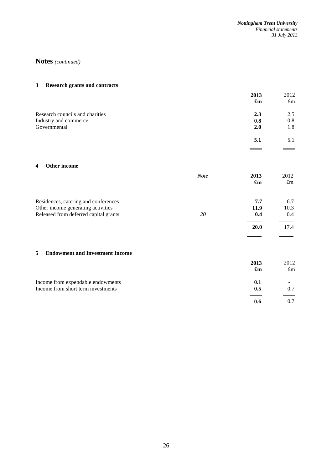# **3 Research grants and contracts**

|                                 | 2013                      | 2012        |
|---------------------------------|---------------------------|-------------|
|                                 | $\mathbf{f}_{\mathbf{m}}$ | $\pounds$ m |
| Research councils and charities | 2.3                       | 2.5         |
| Industry and commerce           | 0.8                       | 0.8         |
| Governmental                    | 2.0                       | 1.8         |
|                                 | 5.1                       | 5.1         |
|                                 |                           |             |

### **4 Other income**

|                                                                            | <b>Note</b> | 2013<br>$\mathbf{f}_{\mathbf{m}}$ | 2012<br>$\pounds$ m |
|----------------------------------------------------------------------------|-------------|-----------------------------------|---------------------|
| Residences, catering and conferences<br>Other income generating activities |             | 7.7<br>11.9                       | 6.7<br>10.3         |
| Released from deferred capital grants                                      | 20          | 0.4<br><b>20.0</b>                | 0.4<br>17.4         |
|                                                                            |             |                                   |                     |

# **5 Endowment and Investment Income**

|                                                                         | 2013<br>$\mathbf{f}_{\mathbf{m}}$ | 2012<br>$\pounds$ m |
|-------------------------------------------------------------------------|-----------------------------------|---------------------|
| Income from expendable endowments<br>Income from short term investments | 0.1<br>0.5                        | -<br>0.7            |
|                                                                         | 0.6                               | 0.7                 |
|                                                                         |                                   |                     |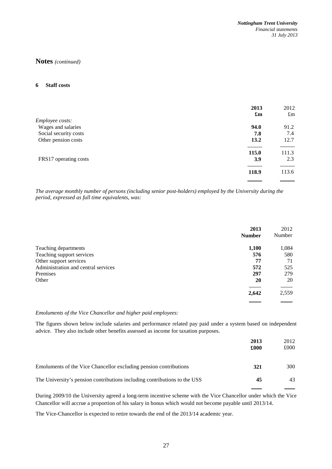## **6 Staff costs**

|                       | 2013<br>$\mathbf{f}_{\mathbf{m}}$ | 2012<br>$\pounds$ m |
|-----------------------|-----------------------------------|---------------------|
| Employee costs:       |                                   |                     |
| Wages and salaries    | 94.0                              | 91.2                |
| Social security costs | 7.8                               | 7.4                 |
| Other pension costs   | 13.2                              | 12.7                |
|                       | 115.0                             | 111.3               |
| FRS17 operating costs | 3.9                               | 2.3                 |
|                       | 118.9                             | 113.6               |
|                       |                                   |                     |

*The average monthly number of persons (including senior post-holders) employed by the University during the period, expressed as full time equivalents, was:* 

|                                     | 2013<br><b>Number</b> | 2012<br>Number |
|-------------------------------------|-----------------------|----------------|
| Teaching departments                | 1,100                 | 1,084          |
| Teaching support services           | 576                   | 580            |
| Other support services              | 77                    | 71             |
| Administration and central services | 572                   | 525            |
| Premises                            | 297                   | 279            |
| Other                               | 20                    | 20             |
|                                     |                       |                |
|                                     | 2,642                 | 2,559          |
|                                     |                       |                |

## *Emoluments of the Vice Chancellor and higher paid employees:*

The figures shown below include salaries and performance related pay paid under a system based on independent advice. They also include other benefits assessed as income for taxation purposes.

|                                                                           | 2013<br>£000 | 2012<br>£000 |
|---------------------------------------------------------------------------|--------------|--------------|
| Emoluments of the Vice Chancellor excluding pension contributions         | 321          | 300          |
| The University's pension contributions including contributions to the USS | 45           | 43           |
|                                                                           |              |              |

During 2009/10 the University agreed a long-term incentive scheme with the Vice Chancellor under which the Vice Chancellor will accrue a proportion of his salary in bonus which would not become payable until 2013/14.

The Vice-Chancellor is expected to retire towards the end of the 2013/14 academic year.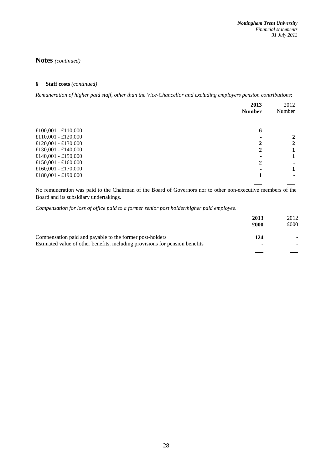# **6 Staff costs** *(continued)*

*Remuneration of higher paid staff, other than the Vice-Chancellor and excluding employers pension contributions*:

|                     | 2013<br><b>Number</b> | 2012<br>Number |
|---------------------|-----------------------|----------------|
| £100,001 - £110,000 | 6                     |                |
| £110,001 - £120,000 |                       | 2              |
| £120,001 - £130,000 |                       | 2              |
| £130,001 - £140,000 |                       |                |
| £140,001 - £150,000 |                       |                |
| £150,001 - £160,000 | 2                     |                |
| £160,001 - £170,000 |                       | 1              |
| £180,001 - £190,000 |                       |                |

No remuneration was paid to the Chairman of the Board of Governors nor to other non-executive members of the Board and its subsidiary undertakings.

*Compensation for loss of office paid to a former senior post holder/higher paid employee.* 

|                                                                              | 2013<br>£000 | 2012<br>£000 |
|------------------------------------------------------------------------------|--------------|--------------|
| Compensation paid and payable to the former post-holders                     | 124          |              |
| Estimated value of other benefits, including provisions for pension benefits |              |              |
|                                                                              |              |              |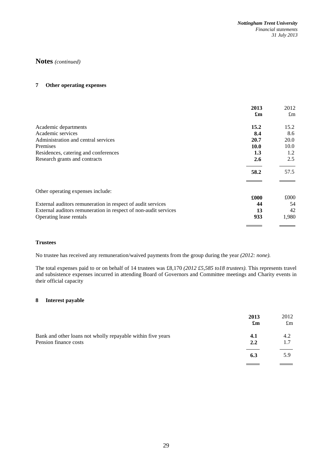# **7 Other operating expenses**

|                                                                 | 2013<br>$\mathbf{f}_{\mathbf{m}}$ | 2012<br>$\pounds$ m |
|-----------------------------------------------------------------|-----------------------------------|---------------------|
| Academic departments                                            | 15.2                              | 15.2                |
| Academic services                                               | 8.4                               | 8.6                 |
| Administration and central services                             | 20.7                              | 20.0                |
| Premises                                                        | 10.0                              | 10.0                |
| Residences, catering and conferences                            | 1.3                               | 1.2                 |
| Research grants and contracts                                   | 2.6                               | 2.5                 |
|                                                                 | 58.2                              | 57.5                |
| Other operating expenses include:                               |                                   |                     |
|                                                                 | £000                              | £000                |
| External auditors remuneration in respect of audit services     | 44                                | 54                  |
| External auditors remuneration in respect of non-audit services | 13                                | 42                  |
| Operating lease rentals                                         | 933                               | 1,980               |
|                                                                 |                                   |                     |

# **Trustees**

No trustee has received any remuneration/waived payments from the group during the year *(2012: none).*

The total expenses paid to or on behalf of 14 trustees was £8,170 *(2012 £5,585 to18 trustees).* This represents travel and subsistence expenses incurred in attending Board of Governors and Committee meetings and Charity events in their official capacity

# **8 Interest payable**

|                                                                                      | 2013<br>$\mathbf{f}_{\mathbf{m}}$ | 2012<br>$\pounds$ m |
|--------------------------------------------------------------------------------------|-----------------------------------|---------------------|
| Bank and other loans not wholly repayable within five years<br>Pension finance costs | 4.1<br>2.2                        | 4.2<br>1.7          |
|                                                                                      | 6.3                               | 5.9                 |
|                                                                                      |                                   |                     |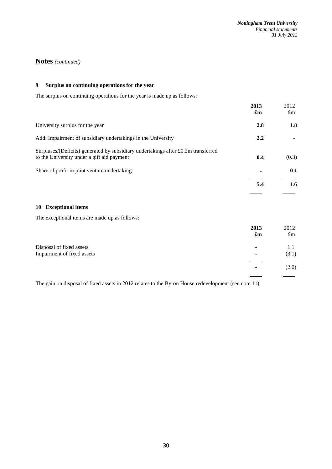# **9 Surplus on continuing operations for the year**

The surplus on continuing operations for the year is made up as follows:

|                                                                                                                                 | 2013<br>$\mathbf{f}_{\mathbf{m}}$ | 2012<br>$\pounds$ m |
|---------------------------------------------------------------------------------------------------------------------------------|-----------------------------------|---------------------|
| University surplus for the year                                                                                                 | 2.8                               | 1.8                 |
| Add: Impairment of subsidiary undertakings in the University                                                                    | 2.2                               |                     |
| Surpluses/(Deficits) generated by subsidiary undertakings after £0.2m transferred<br>to the University under a gift aid payment | 0.4                               | (0.3)               |
| Share of profit in joint venture undertaking                                                                                    |                                   | 0.1                 |
|                                                                                                                                 | 5.4                               | 1.6                 |
|                                                                                                                                 |                                   |                     |

# **10 Exceptional items**

The exceptional items are made up as follows:

|                            | 2013<br>$\mathbf{f}_{\mathbf{m}}$ | 2012<br>$\pounds$ m |
|----------------------------|-----------------------------------|---------------------|
| Disposal of fixed assets   |                                   |                     |
| Impairment of fixed assets | ۰                                 | (3.1)               |
|                            |                                   | (2.0)               |

The gain on disposal of fixed assets in 2012 relates to the Byron House redevelopment (see note 11).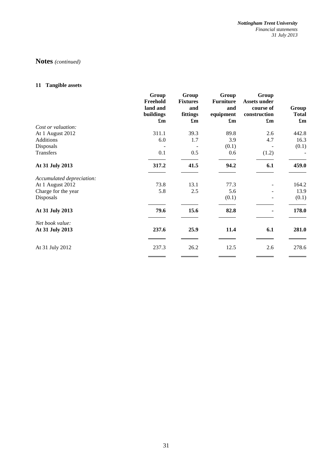*Nottingham Trent University Financial statements 31 July 2013* 

# **Notes** *(continued)*

# **11 Tangible assets**

|                           | Group<br>Freehold<br>land and<br>buildings<br>$\mathbf{f}_{\mathbf{m}}$ | Group<br><b>Fixtures</b><br>and<br>fittings<br>$\mathbf{f}_{\mathbf{m}}$ | Group<br><b>Furniture</b><br>and<br>equipment<br>$\mathbf{f}_{\mathbf{m}}$ | Group<br><b>Assets under</b><br>course of<br>construction<br>$\mathbf{f}_{\mathbf{m}}$ | Group<br><b>Total</b><br>$\mathbf{f}_{\mathbf{m}}$ |
|---------------------------|-------------------------------------------------------------------------|--------------------------------------------------------------------------|----------------------------------------------------------------------------|----------------------------------------------------------------------------------------|----------------------------------------------------|
| Cost or valuation:        |                                                                         |                                                                          |                                                                            |                                                                                        |                                                    |
| At 1 August 2012          | 311.1                                                                   | 39.3                                                                     | 89.8                                                                       | 2.6                                                                                    | 442.8                                              |
| Additions                 | 6.0                                                                     | 1.7                                                                      | 3.9                                                                        | 4.7                                                                                    | 16.3                                               |
| Disposals                 |                                                                         |                                                                          | (0.1)                                                                      |                                                                                        | (0.1)                                              |
| <b>Transfers</b>          | 0.1                                                                     | 0.5                                                                      | 0.6                                                                        | (1.2)                                                                                  |                                                    |
| At 31 July 2013           | 317.2                                                                   | 41.5                                                                     | 94.2                                                                       | 6.1                                                                                    | 459.0                                              |
| Accumulated depreciation: |                                                                         |                                                                          |                                                                            |                                                                                        |                                                    |
| At 1 August 2012          | 73.8                                                                    | 13.1                                                                     | 77.3                                                                       |                                                                                        | 164.2                                              |
| Charge for the year       | 5.8                                                                     | 2.5                                                                      | 5.6                                                                        |                                                                                        | 13.9                                               |
| Disposals                 |                                                                         |                                                                          | (0.1)                                                                      |                                                                                        | (0.1)                                              |
| At 31 July 2013           | 79.6                                                                    | 15.6                                                                     | 82.8                                                                       |                                                                                        | 178.0                                              |
| Net book value:           |                                                                         |                                                                          |                                                                            |                                                                                        |                                                    |
| At 31 July 2013           | 237.6                                                                   | 25.9                                                                     | 11.4                                                                       | 6.1                                                                                    | 281.0                                              |
| At 31 July 2012           | 237.3                                                                   | 26.2                                                                     | 12.5                                                                       | 2.6                                                                                    | 278.6                                              |
|                           |                                                                         |                                                                          |                                                                            |                                                                                        |                                                    |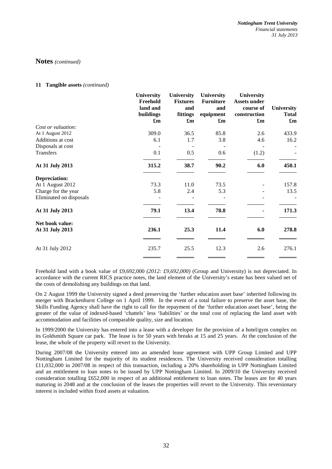### **11 Tangible assets** *(continued)*

|                         | <b>University</b><br>Freehold<br>land and<br>buildings<br>$\mathbf{f}_{\mathbf{m}}$ | <b>University</b><br><b>Fixtures</b><br>and<br>fittings<br>$\mathbf{f}_{\mathbf{m}}$ | <b>University</b><br><b>Furniture</b><br>and<br>equipment<br>$\mathbf{f}_{\mathbf{m}}$ | University<br><b>Assets under</b><br>course of<br>construction<br>$\mathbf{f}_{\mathbf{m}}$ | <b>University</b><br><b>Total</b><br>$\mathbf{f}_{\mathbf{m}}$ |
|-------------------------|-------------------------------------------------------------------------------------|--------------------------------------------------------------------------------------|----------------------------------------------------------------------------------------|---------------------------------------------------------------------------------------------|----------------------------------------------------------------|
| Cost or valuation:      |                                                                                     |                                                                                      |                                                                                        |                                                                                             |                                                                |
| At 1 August 2012        | 309.0                                                                               | 36.5                                                                                 | 85.8                                                                                   | 2.6                                                                                         | 433.9                                                          |
| Additions at cost       | 6.1                                                                                 | 1.7                                                                                  | 3.8                                                                                    | 4.6                                                                                         | 16.2                                                           |
| Disposals at cost       |                                                                                     |                                                                                      |                                                                                        |                                                                                             |                                                                |
| Transfers               | 0.1                                                                                 | 0.5                                                                                  | 0.6                                                                                    | (1.2)                                                                                       |                                                                |
| At 31 July 2013         | 315.2                                                                               | 38.7                                                                                 | 90.2                                                                                   | 6.0                                                                                         | 450.1                                                          |
| Depreciation:           |                                                                                     |                                                                                      |                                                                                        |                                                                                             |                                                                |
| At 1 August 2012        | 73.3                                                                                | 11.0                                                                                 | 73.5                                                                                   |                                                                                             | 157.8                                                          |
| Charge for the year     | 5.8                                                                                 | 2.4                                                                                  | 5.3                                                                                    |                                                                                             | 13.5                                                           |
| Eliminated on disposals |                                                                                     |                                                                                      |                                                                                        |                                                                                             |                                                                |
| At 31 July 2013         | 79.1                                                                                | 13.4                                                                                 | 78.8                                                                                   |                                                                                             | 171.3                                                          |
| Net book value:         |                                                                                     |                                                                                      |                                                                                        |                                                                                             |                                                                |
| At 31 July 2013         | 236.1                                                                               | 25.3                                                                                 | 11.4                                                                                   | 6.0                                                                                         | 278.8                                                          |
| At 31 July 2012         | 235.7                                                                               | 25.5                                                                                 | 12.3                                                                                   | 2.6                                                                                         | 276.1                                                          |
|                         |                                                                                     |                                                                                      |                                                                                        |                                                                                             |                                                                |

Freehold land with a book value of £9,692,000 *(2012: £9,692,000)* (Group and University) is not depreciated. In accordance with the current RICS practice notes, the land element of the University's estate has been valued net of the costs of demolishing any buildings on that land.

On 2 August 1999 the University signed a deed preserving the 'further education asset base' inherited following its merger with Brackenhurst College on 1 April 1999. In the event of a total failure to preserve the asset base, the Skills Funding Agency shall have the right to call for the repayment of the 'further education asset base', being the greater of the value of indexed-based 'chattels' less 'liabilities' or the total cost of replacing the land asset with accommodation and facilities of comparable quality, size and location.

In 1999/2000 the University has entered into a lease with a developer for the provision of a hotel/gym complex on its Goldsmith Square car park. The lease is for 50 years with breaks at 15 and 25 years. At the conclusion of the lease, the whole of the property will revert to the University.

During 2007/08 the University entered into an amended lease agreement with UPP Group Limited and UPP Nottingham Limited for the majority of its student residences. The University received consideration totalling £11,032,000 in 2007/08 in respect of this transaction, including a 20% shareholding in UPP Nottingham Limited and an entitlement to loan notes to be issued by UPP Nottingham Limited. In 2009/10 the University received consideration totalling £652,000 in respect of an additional entitlement to loan notes. The leases are for 40 years maturing in 2048 and at the conclusion of the leases the properties will revert to the University. This reversionary interest is included within fixed assets at valuation.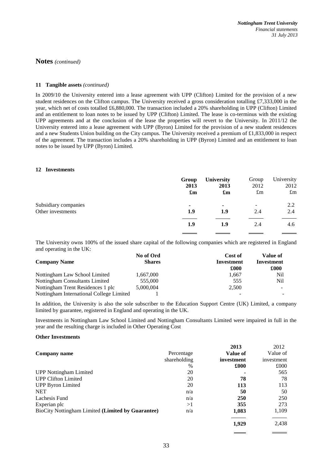## **11 Tangible assets** *(continued)*

In 2009/10 the University entered into a lease agreement with UPP (Clifton) Limited for the provision of a new student residences on the Clifton campus. The University received a gross consideration totalling £7,333,000 in the year, which net of costs totalled £6,880,000. The transaction included a 20% shareholding in UPP (Clifton) Limited and an entitlement to loan notes to be issued by UPP (Clifton) Limited. The lease is co-terminus with the existing UPP agreements and at the conclusion of the lease the properties will revert to the University. In 2011/12 the University entered into a lease agreement with UPP (Byron) Limited for the provision of a new student residences and a new Students Union building on the City campus. The University received a premium of £1,833,000 in respect of the agreement. The transaction includes a 20% shareholding in UPP (Byron) Limited and an entitlement to loan notes to be issued by UPP (Byron) Limited.

### **12 Investments**

|                      | Group                     | <b>University</b>         | Group       | University  |
|----------------------|---------------------------|---------------------------|-------------|-------------|
|                      | 2013                      | 2013                      | 2012        | 2012        |
|                      | $\mathbf{f}_{\mathbf{m}}$ | $\mathbf{f}_{\mathbf{m}}$ | $\pounds$ m | $\pounds$ m |
| Subsidiary companies | ۰                         | $\blacksquare$            | -           | 2.2         |
| Other investments    | 1.9                       | 1.9                       | 2.4         | 2.4         |
|                      | 1.9                       | 1.9                       | 2.4         | 4.6         |

The University owns 100% of the issued share capital of the following companies which are registered in England and operating in the UK:

|                                          | No of Ord     | Cost of    | Value of   |
|------------------------------------------|---------------|------------|------------|
| <b>Company Name</b>                      | <b>Shares</b> | Investment | Investment |
|                                          |               | £000       | £000       |
| Nottingham Law School Limited            | 1,667,000     | 1,667      | Nil        |
| Nottingham Consultants Limited           | 555,000       | 555        | Nil        |
| Nottingham Trent Residences 1 plc        | 5,000,004     | 2,500      |            |
| Nottingham International College Limited |               |            |            |

In addition, the University is also the sole subscriber to the Education Support Centre (UK) Limited, a company limited by guarantee, registered in England and operating in the UK.

Investments in Nottingham Law School Limited and Nottingham Consultants Limited were impaired in full in the year and the resulting charge is included in Other Operating Cost

### **Other Investments**

|                                                   |              | 2013       | 2012       |
|---------------------------------------------------|--------------|------------|------------|
| Company name                                      | Percentage   | Value of   | Value of   |
|                                                   | shareholding | investment | investment |
|                                                   | $\%$         | £000       | £000       |
| <b>UPP Nottingham Limited</b>                     | 20           |            | 565        |
| <b>UPP Clifton Limited</b>                        | 20           | 78         | 78         |
| <b>UPP Byron Limited</b>                          | 20           | 113        | 113        |
| <b>NET</b>                                        | n/a          | 50         | 50         |
| Lachesis Fund                                     | n/a          | 250        | 250        |
| Experian plc                                      | >1           | 355        | 273        |
| BioCity Nottingham Limited (Limited by Guarantee) | n/a          | 1,083      | 1,109      |
|                                                   |              | 1.929      | 2,438      |

 $\overline{a}$ 

 $\overline{a}$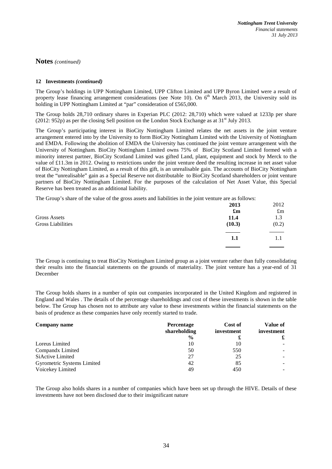## **12 Investments** *(continued)*

The Group's holdings in UPP Nottingham Limited, UPP Clifton Limited and UPP Byron Limited were a result of property lease financing arrangement considerations (see Note 10). On 6<sup>th</sup> March 2013, the University sold its holding in UPP Nottingham Limited at "par" consideration of £565,000.

The Group holds 28,710 ordinary shares in Experian PLC (2012: 28,710) which were valued at 1233p per share  $(2012: 952p)$  as per the closing Sell position on the London Stock Exchange as at 31<sup>st</sup> July 2013.

The Group's participating interest in BioCity Nottingham Limited relates the net assets in the joint venture arrangement entered into by the University to form BioCity Nottingham Limited with the University of Nottingham and EMDA. Following the abolition of EMDA the University has continued the joint venture arrangement with the University of Nottingham. BioCity Nottingham Limited owns 75% of BioCity Scotland Limited formed with a minority interest partner, BioCity Scotland Limited was gifted Land, plant, equipment and stock by Merck to the value of £11.3m in 2012. Owing to restrictions under the joint venture deed the resulting increase in net asset value of BioCity Nottingham Limited, as a result of this gift, is an unrealisable gain. The accounts of BioCity Nottingham treat the "unrealisable" gain as a Special Reserve not distributable to BioCity Scotland shareholders or joint venture partners of BioCity Nottingham Limited. For the purposes of the calculation of Net Asset Value, this Special Reserve has been treated as an additional liability.

The Group's share of the value of the gross assets and liabilities in the joint venture are as follows:

|                          | 2013                      | 2012        |
|--------------------------|---------------------------|-------------|
|                          | $\mathbf{f}_{\mathbf{m}}$ | $\pounds$ m |
| <b>Gross Assets</b>      | 11.4                      | 1.3         |
| <b>Gross Liabilities</b> | (10.3)                    | (0.2)       |
|                          | 1.1                       | 1.1         |
|                          |                           |             |

The Group is continuing to treat BioCity Nottingham Limited group as a joint venture rather than fully consolidating their results into the financial statements on the grounds of materiality. The joint venture has a year-end of 31 December

The Group holds shares in a number of spin out companies incorporated in the United Kingdom and registered in England and Wales . The details of the percentage shareholdings and cost of these investments is shown in the table below. The Group has chosen not to attribute any value to these investments within the financial statements on the basis of prudence as these companies have only recently started to trade.

| <b>Company name</b>        | <b>Percentage</b><br>shareholding | Cost of<br>investment | Value of<br>investment |
|----------------------------|-----------------------------------|-----------------------|------------------------|
|                            | $\frac{6}{9}$                     |                       |                        |
| Loreus Limited             | 10                                | 10                    |                        |
| Compandx Limited           | 50                                | 550                   |                        |
| SiActive Limited           | 27                                | 25                    |                        |
| Gyrometric Systems Limited | 42                                | 85                    |                        |
| Voicekey Limited           | 49                                | 450                   |                        |

The Group also holds shares in a number of companies which have been set up through the HIVE. Details of these investments have not been disclosed due to their insignificant nature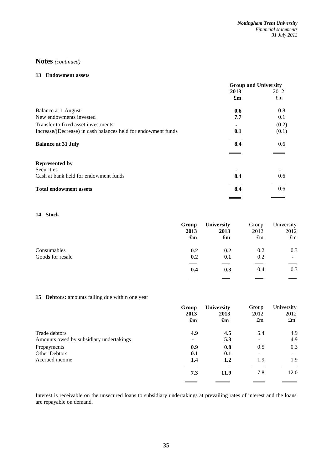### **13 Endowment assets**

| 2012        |
|-------------|
|             |
| $\pounds$ m |
| 0.8         |
| 0.1         |
| (0.2)       |
| (0.1)       |
| 0.6         |
|             |
|             |
|             |
| 0.6         |
| 0.6         |
|             |

# **14 Stock**

|                  | Group                     | <b>University</b>         | Group       | University  |
|------------------|---------------------------|---------------------------|-------------|-------------|
|                  | 2013                      | 2013                      | 2012        | 2012        |
|                  | $\mathbf{f}_{\mathbf{m}}$ | $\mathbf{f}_{\mathbf{m}}$ | $\pounds$ m | $\pounds$ m |
| Consumables      | 0.2                       | 0.2                       | 0.2         | 0.3         |
| Goods for resale | 0.2                       | 0.1                       | 0.2         | -           |
|                  | 0.4                       | 0.3                       | 0.4         | 0.3         |
|                  |                           |                           |             |             |

# **15 Debtors:** amounts falling due within one year

|                                         | Group                     | <b>University</b>         | Group                    | University  |
|-----------------------------------------|---------------------------|---------------------------|--------------------------|-------------|
|                                         | 2013                      | 2013                      | 2012                     | 2012        |
|                                         | $\mathbf{f}_{\mathbf{m}}$ | $\mathbf{f}_{\mathbf{m}}$ | $\pounds$ m              | $\pounds$ m |
| Trade debtors                           | 4.9                       | 4.5                       | 5.4                      | 4.9         |
| Amounts owed by subsidiary undertakings |                           | 5.3                       | $\overline{\phantom{a}}$ | 4.9         |
| Prepayments                             | 0.9                       | 0.8                       | 0.5                      | 0.3         |
| <b>Other Debtors</b>                    | 0.1                       | 0.1                       | -                        | 1.9         |
| Accrued income                          | 1.4                       | 1.2                       | 1.9                      |             |
|                                         | 7.3                       | 11.9                      | 7.8                      | 12.0        |

Interest is receivable on the unsecured loans to subsidiary undertakings at prevailing rates of interest and the loans are repayable on demand.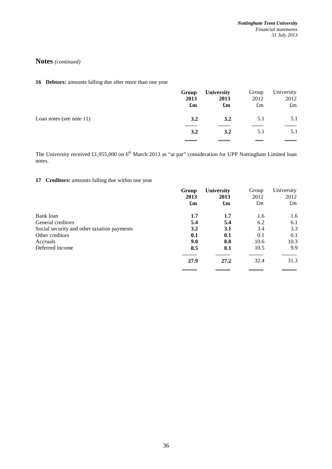**16 Debtors:** amounts falling due after more than one year

|                             | Group<br>2013<br>$\mathbf{f}_{\mathbf{m}}$ | <b>University</b><br>2013<br>$\mathbf{f}_{\mathbf{m}}$ | Group<br>2012<br>$\pounds$ m | University<br>2012<br>$\pounds$ m |
|-----------------------------|--------------------------------------------|--------------------------------------------------------|------------------------------|-----------------------------------|
| Loan notes (see note $11$ ) | 3.2                                        | 3.2                                                    | 5.1                          | 5.1                               |
|                             | 3.2                                        | 3.2                                                    | 5.1                          | 5.1                               |
|                             |                                            |                                                        |                              |                                   |

The University received £1,955,000 on 6<sup>th</sup> March 2013 as "at par" consideration for UPP Nottingham Limited loan notes.

# **17 Creditors:** amounts falling due within one year

|                                             | Group                     | <b>University</b>         | Group       | University  |
|---------------------------------------------|---------------------------|---------------------------|-------------|-------------|
|                                             | 2013                      | 2013                      | 2012        | 2012        |
|                                             | $\mathbf{f}_{\mathbf{m}}$ | $\mathbf{f}_{\mathbf{m}}$ | $\pounds$ m | $\pounds$ m |
| Bank loan                                   | $1.7\,$                   | 1.7                       | 1.6         | 1.6         |
| General creditors                           | 5.4                       | 5.4                       | 6.2         | 6.1         |
| Social security and other taxation payments | 3.2                       | 3.1                       | 3.4         | 3.3         |
| Other creditors                             | 0.1                       | 0.1                       | 0.1         | 0.1         |
| Accruals                                    | 9.0                       | 8.8                       | 10.6        | 10.3        |
| Deferred income                             | 8.5                       | 8.1                       | 10.5        | 9.9         |
|                                             | 27.9                      | 27.2                      | 32.4        | 31.3        |
|                                             |                           |                           |             |             |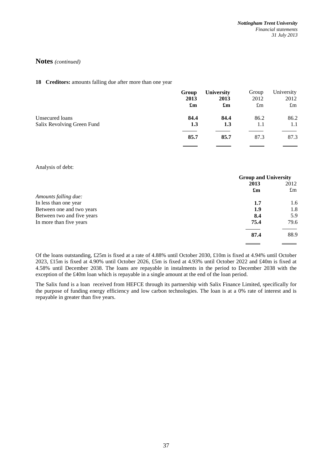# 18 **Creditors:** amounts falling due after more than one year

|                            | Group                     | <b>University</b>         | Group       | University  |
|----------------------------|---------------------------|---------------------------|-------------|-------------|
|                            | 2013                      | 2013                      | 2012        | 2012        |
|                            | $\mathbf{f}_{\mathbf{m}}$ | $\mathbf{f}_{\mathbf{m}}$ | $\pounds$ m | $\pounds$ m |
| Unsecured loans            | 84.4                      | 84.4                      | 86.2        | 86.2        |
| Salix Revolving Green Fund | 1.3                       | 1.3                       | 1.1         | 1.1         |
|                            | 85.7                      | 85.7                      | 87.3        | 87.3        |
|                            |                           |                           |             |             |

### Analysis of debt:

| <b>Group and University</b> |             |
|-----------------------------|-------------|
| 2013                        | 2012        |
| $\mathbf{f}_{\mathbf{m}}$   | $\pounds$ m |
|                             |             |
| 1.7                         | 1.6         |
| 1.9                         | 1.8         |
| 8.4                         | 5.9         |
| 75.4                        | 79.6        |
| 87.4                        | 88.9        |
|                             |             |

Of the loans outstanding, £25m is fixed at a rate of 4.88% until October 2030, £10m is fixed at 4.94% until October 2023, £15m is fixed at 4.90% until October 2026, £5m is fixed at 4.93% until October 2022 and £40m is fixed at 4.58% until December 2038. The loans are repayable in instalments in the period to December 2038 with the exception of the £40m loan which is repayable in a single amount at the end of the loan period.

The Salix fund is a loan received from HEFCE through its partnership with Salix Finance Limited, specifically for the purpose of funding energy efficiency and low carbon technologies. The loan is at a 0% rate of interest and is repayable in greater than five years.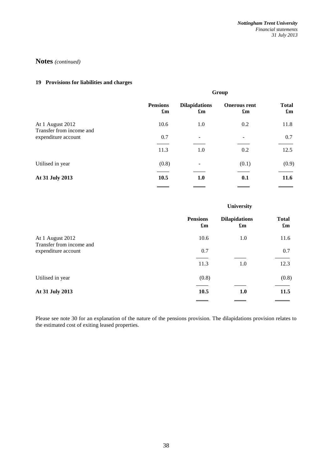# **19 Provisions for liabilities and charges**

|                                                 | Group                                        |                                                   |                                                  |                                           |
|-------------------------------------------------|----------------------------------------------|---------------------------------------------------|--------------------------------------------------|-------------------------------------------|
|                                                 | <b>Pensions</b><br>$\mathbf{f}_{\mathbf{m}}$ | <b>Dilapidations</b><br>$\mathbf{f}_{\mathbf{m}}$ | <b>Onerous rent</b><br>$\mathbf{f}_{\mathbf{m}}$ | <b>Total</b><br>$\mathbf{f}_{\mathbf{m}}$ |
| At 1 August 2012                                | 10.6                                         | 1.0                                               | 0.2                                              | 11.8                                      |
| Transfer from income and<br>expenditure account | 0.7                                          |                                                   |                                                  | 0.7                                       |
|                                                 | 11.3                                         | 1.0                                               | 0.2                                              | 12.5                                      |
| Utilised in year                                | (0.8)                                        |                                                   | (0.1)                                            | (0.9)                                     |
| At 31 July 2013                                 | 10.5                                         | 1.0                                               | 0.1                                              | 11.6                                      |
|                                                 |                                              |                                                   |                                                  |                                           |

# **University**

|                                                 | <b>Pensions</b><br>$\mathbf{f}_{\mathbf{m}}$ | <b>Dilapidations</b><br>$\mathbf{f}_{\mathbf{m}}$ | <b>Total</b><br>$\mathbf{f}_{\mathbf{m}}$ |
|-------------------------------------------------|----------------------------------------------|---------------------------------------------------|-------------------------------------------|
| At 1 August 2012                                | 10.6                                         | 1.0                                               | 11.6                                      |
| Transfer from income and<br>expenditure account | 0.7                                          |                                                   | 0.7                                       |
|                                                 | 11.3                                         | 1.0                                               | 12.3                                      |
| Utilised in year                                | (0.8)                                        |                                                   | (0.8)                                     |
| At 31 July 2013                                 | 10.5                                         | 1.0                                               | 11.5                                      |
|                                                 |                                              |                                                   |                                           |

Please see note 30 for an explanation of the nature of the pensions provision. The dilapidations provision relates to the estimated cost of exiting leased properties.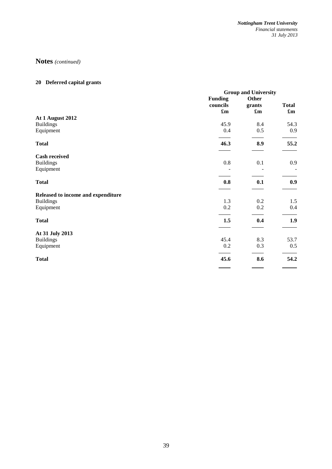# **20 Deferred capital grants**

|                                    |                           | <b>Group and University</b> |                           |  |
|------------------------------------|---------------------------|-----------------------------|---------------------------|--|
|                                    | <b>Funding</b>            | Other                       |                           |  |
|                                    | councils                  | grants                      | <b>Total</b>              |  |
|                                    | $\mathbf{f}_{\mathbf{m}}$ | $\mathbf{f}_{\mathbf{m}}$   | $\mathbf{f}_{\mathbf{m}}$ |  |
| At 1 August 2012                   |                           |                             |                           |  |
| <b>Buildings</b>                   | 45.9                      | 8.4                         | 54.3                      |  |
| Equipment                          | 0.4                       | 0.5                         | 0.9                       |  |
| <b>Total</b>                       | 46.3                      | 8.9                         | 55.2                      |  |
| <b>Cash received</b>               |                           |                             |                           |  |
| <b>Buildings</b>                   | 0.8                       | 0.1                         | 0.9                       |  |
| Equipment                          |                           |                             |                           |  |
| <b>Total</b>                       | 0.8                       | 0.1                         | 0.9                       |  |
| Released to income and expenditure |                           |                             |                           |  |
| <b>Buildings</b>                   | 1.3                       | 0.2                         | 1.5                       |  |
| Equipment                          | 0.2                       | 0.2                         | 0.4                       |  |
| <b>Total</b>                       | 1.5                       | 0.4                         | 1.9                       |  |
| At 31 July 2013                    |                           |                             |                           |  |
| <b>Buildings</b>                   | 45.4                      | 8.3                         | 53.7                      |  |
| Equipment                          | 0.2                       | 0.3                         | 0.5                       |  |
| <b>Total</b>                       | 45.6                      | 8.6                         | 54.2                      |  |
|                                    | _____                     | _____                       |                           |  |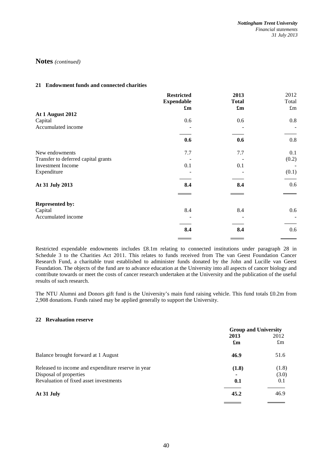## **21 Endowment funds and connected charities**

|                                     | <b>Restricted</b>         | 2013                      | 2012        |
|-------------------------------------|---------------------------|---------------------------|-------------|
|                                     | <b>Expendable</b>         | <b>Total</b>              | Total       |
|                                     | $\mathbf{f}_{\mathbf{m}}$ | $\mathbf{f}_{\mathbf{m}}$ | $\pounds m$ |
| At 1 August 2012                    |                           |                           |             |
| Capital                             | 0.6                       | 0.6                       | 0.8         |
| Accumulated income                  |                           |                           |             |
|                                     | 0.6                       | 0.6                       | 0.8         |
| New endowments                      | 7.7                       | 7.7                       | 0.1         |
| Transfer to deferred capital grants |                           |                           | (0.2)       |
| <b>Investment</b> Income            | 0.1                       | 0.1                       |             |
| Expenditure                         |                           |                           | (0.1)       |
| At 31 July 2013                     | 8.4                       | 8.4                       | 0.6         |
| <b>Represented by:</b>              |                           |                           |             |
| Capital                             | 8.4                       | 8.4                       | 0.6         |
| Accumulated income                  |                           |                           |             |
|                                     | 8.4                       | 8.4                       | 0.6         |
|                                     |                           |                           |             |

Restricted expendable endowments includes £8.1m relating to connected institutions under paragraph 28 in Schedule 3 to the Charities Act 2011. This relates to funds received from The van Geest Foundation Cancer Research Fund, a charitable trust established to administer funds donated by the John and Lucille van Geest Foundation. The objects of the fund are to advance education at the University into all aspects of cancer biology and contribute towards or meet the costs of cancer research undertaken at the University and the publication of the useful results of such research.

The NTU Alumni and Donors gift fund is the University's main fund raising vehicle. This fund totals £0.2m from 2,908 donations. Funds raised may be applied generally to support the University.

# **22 Revaluation reserve**

|                                                    | <b>Group and University</b> |             |
|----------------------------------------------------|-----------------------------|-------------|
|                                                    | 2013                        | 2012        |
|                                                    | $\mathbf{f}_{\mathbf{m}}$   | $\pounds$ m |
| Balance brought forward at 1 August                | 46.9                        | 51.6        |
| Released to income and expenditure reserve in year | (1.8)                       | (1.8)       |
| Disposal of properties                             |                             | (3.0)       |
| Revaluation of fixed asset investments             | 0.1                         | 0.1         |
| At 31 July                                         | 45.2                        | 46.9        |
|                                                    |                             |             |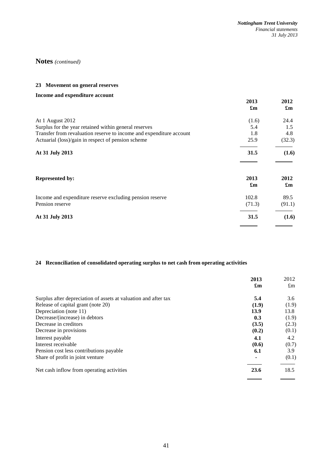# **23 Movement on general reserves**

| Income and expenditure account                                      |                                   |                                   |
|---------------------------------------------------------------------|-----------------------------------|-----------------------------------|
|                                                                     | 2013                              | 2012                              |
|                                                                     | $\mathbf{f}_{\mathbf{m}}$         | $\mathbf{f}_{\mathbf{m}}$         |
| At 1 August 2012                                                    | (1.6)                             | 24.4                              |
| Surplus for the year retained within general reserves               | 5.4                               | 1.5                               |
| Transfer from revaluation reserve to income and expenditure account | 1.8                               | 4.8                               |
| Actuarial (loss)/gain in respect of pension scheme                  | 25.9                              | (32.3)                            |
| At 31 July 2013                                                     | 31.5                              | (1.6)                             |
| <b>Represented by:</b>                                              | 2013<br>$\mathbf{f}_{\mathbf{m}}$ | 2012<br>$\mathbf{f}_{\mathbf{m}}$ |
| Income and expenditure reserve excluding pension reserve            | 102.8                             | 89.5                              |
| Pension reserve                                                     | (71.3)                            | (91.1)                            |
| At 31 July 2013                                                     | 31.5                              | (1.6)                             |

# **24 Reconciliation of consolidated operating surplus to net cash from operating activities**

|                                                                 | 2013                      | 2012        |
|-----------------------------------------------------------------|---------------------------|-------------|
|                                                                 | $\mathbf{f}_{\mathbf{m}}$ | $\pounds$ m |
| Surplus after depreciation of assets at valuation and after tax | 5.4                       | 3.6         |
| Release of capital grant (note 20)                              | (1.9)                     | (1.9)       |
| Depreciation (note 11)                                          | 13.9                      | 13.8        |
| Decrease/(increase) in debtors                                  | 0.3                       | (1.9)       |
| Decrease in creditors                                           | (3.5)                     | (2.3)       |
| Decrease in provisions                                          | (0.2)                     | (0.1)       |
| Interest payable                                                | 4.1                       | 4.2         |
| Interest receivable                                             | (0.6)                     | (0.7)       |
| Pension cost less contributions payable                         | 6.1                       | 3.9         |
| Share of profit in joint venture                                |                           | (0.1)       |
| Net cash inflow from operating activities                       | 23.6                      | 18.5        |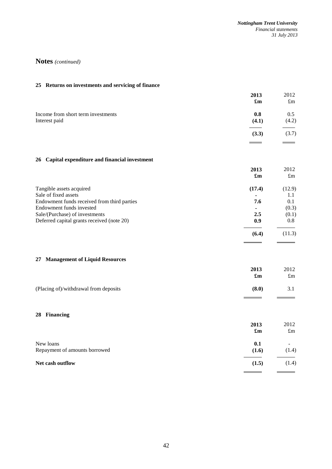$\overline{\phantom{0}}$ 

 $\overline{a}$ 

# **Notes** *(continued)*

# **25 Returns on investments and servicing of finance**

|                                                     | 2013<br>$\mathbf{f}_{\mathbf{m}}$ | 2012<br>$\pounds$ m |
|-----------------------------------------------------|-----------------------------------|---------------------|
| Income from short term investments<br>Interest paid | 0.8<br>(4.1)                      | 0.5<br>(4.2)        |
|                                                     | (3.3)                             | (3.7)               |
|                                                     |                                   |                     |

# **26 Capital expenditure and financial investment**

|                                             | 2013   | 2012        |
|---------------------------------------------|--------|-------------|
|                                             | £m     | $\pounds$ m |
| Tangible assets acquired                    | (17.4) | (12.9)      |
| Sale of fixed assets                        |        | 1.1         |
| Endowment funds received from third parties | 7.6    | 0.1         |
| Endowment funds invested                    |        | (0.3)       |
| Sale/(Purchase) of investments              | 2.5    | (0.1)       |
| Deferred capital grants received (note 20)  | 0.9    | 0.8         |
|                                             | (6.4)  | (11.3)      |

# **27 Management of Liquid Resources**

|                                       | 2013<br>$\mathbf{f}_{\mathbf{m}}$ | 2012<br>$\pounds$ m |
|---------------------------------------|-----------------------------------|---------------------|
| (Placing of)/withdrawal from deposits | (8.0)                             | 3.1                 |

# **28 Financing**

|                                            | 2013<br>$\mathbf{f}_{\mathbf{m}}$ | 2012<br>$\pounds$ m |
|--------------------------------------------|-----------------------------------|---------------------|
| New loans<br>Repayment of amounts borrowed | 0.1<br>(1.6)                      | (1.4)               |
| Net cash outflow                           | (1.5)                             | (1.4)               |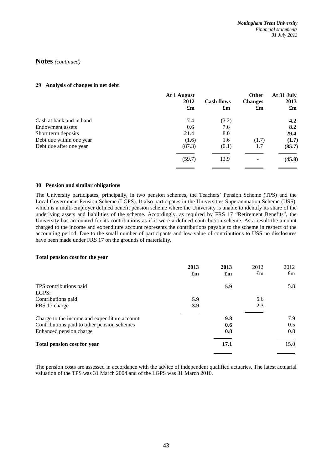## **29 Analysis of changes in net debt**

|                          | At 1 August<br>2012<br>$\mathbf{f}_{\mathbf{m}}$ | <b>Cash flows</b><br>$\mathbf{f}_{\mathbf{m}}$ | Other<br><b>Changes</b><br>$\mathbf{f}_{\mathbf{m}}$ | At 31 July<br>2013<br>$\mathbf{f}_{\mathbf{m}}$ |
|--------------------------|--------------------------------------------------|------------------------------------------------|------------------------------------------------------|-------------------------------------------------|
| Cash at bank and in hand | 7.4                                              | (3.2)                                          |                                                      | 4.2                                             |
| Endowment assets         | 0.6                                              | 7.6                                            |                                                      | 8.2                                             |
| Short term deposits      | 21.4                                             | 8.0                                            |                                                      | 29.4                                            |
| Debt due within one year | (1.6)                                            | 1.6                                            | (1.7)                                                | (1.7)                                           |
| Debt due after one year  | (87.3)                                           | (0.1)                                          | 1.7                                                  | (85.7)                                          |
|                          | (59.7)                                           | 13.9                                           |                                                      | (45.8)                                          |
|                          |                                                  |                                                |                                                      |                                                 |

### **30 Pension and similar obligations**

The University participates, principally, in two pension schemes, the Teachers' Pension Scheme (TPS) and the Local Government Pension Scheme (LGPS). It also participates in the Universities Superannuation Scheme (USS), which is a multi-employer defined benefit pension scheme where the University is unable to identify its share of the underlying assets and liabilities of the scheme. Accordingly, as required by FRS 17 "Retirement Benefits", the University has accounted for its contributions as if it were a defined contribution scheme. As a result the amount charged to the income and expenditure account represents the contributions payable to the scheme in respect of the accounting period. Due to the small number of participants and low value of contributions to USS no disclosures have been made under FRS 17 on the grounds of materiality.

### **Total pension cost for the year**

|                                              | 2013<br>$\mathbf{f}_{\mathbf{m}}$ | 2013<br>$\mathbf{f}_{\mathbf{m}}$ | 2012<br>$\pounds$ m | 2012<br>$\pounds$ m |
|----------------------------------------------|-----------------------------------|-----------------------------------|---------------------|---------------------|
| TPS contributions paid                       |                                   | 5.9                               |                     | 5.8                 |
| LGPS:                                        |                                   |                                   |                     |                     |
| Contributions paid                           | 5.9                               |                                   | 5.6                 |                     |
| FRS 17 charge                                | 3.9                               |                                   | 2.3                 |                     |
| Charge to the income and expenditure account |                                   | 9.8                               |                     | 7.9                 |
| Contributions paid to other pension schemes  |                                   | 0.6                               |                     | 0.5                 |
| Enhanced pension charge                      |                                   | 0.8                               |                     | 0.8                 |
| <b>Total pension cost for year</b>           |                                   | 17.1                              |                     | 15.0                |

The pension costs are assessed in accordance with the advice of independent qualified actuaries. The latest actuarial valuation of the TPS was 31 March 2004 and of the LGPS was 31 March 2010.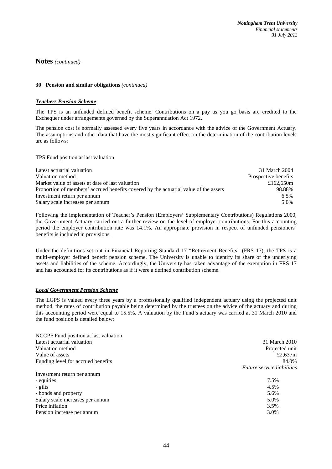### **30 Pension and similar obligations** *(continued)*

### *Teachers Pension Scheme*

The TPS is an unfunded defined benefit scheme. Contributions on a pay as you go basis are credited to the Exchequer under arrangements governed by the Superannuation Act 1972.

The pension cost is normally assessed every five years in accordance with the advice of the Government Actuary. The assumptions and other data that have the most significant effect on the determination of the contribution levels are as follows:

### TPS Fund position at last valuation

| Latest actuarial valuation                                                           | 31 March 2004        |
|--------------------------------------------------------------------------------------|----------------------|
| Valuation method                                                                     | Prospective benefits |
| Market value of assets at date of last valuation                                     | £162.650m            |
| Proportion of members' accrued benefits covered by the actuarial value of the assets | 98.88%               |
| Investment return per annum                                                          | $6.5\%$              |
| Salary scale increases per annum                                                     | 5.0%                 |

Following the implementation of Teacher's Pension (Employers' Supplementary Contributions) Regulations 2000, the Government Actuary carried out a further review on the level of employer contributions. For this accounting period the employer contribution rate was 14.1%. An appropriate provision in respect of unfunded pensioners' benefits is included in provisions.

Under the definitions set out in Financial Reporting Standard 17 "Retirement Benefits" (FRS 17), the TPS is a multi-employer defined benefit pension scheme. The University is unable to identify its share of the underlying assets and liabilities of the scheme. Accordingly, the University has taken advantage of the exemption in FRS 17 and has accounted for its contributions as if it were a defined contribution scheme.

## *Local Government Pension Scheme*

The LGPS is valued every three years by a professionally qualified independent actuary using the projected unit method, the rates of contribution payable being determined by the trustees on the advice of the actuary and during this accounting period were equal to 15.5%. A valuation by the Fund's actuary was carried at 31 March 2010 and the fund position is detailed below:

| <b>NCCPF</b> Fund position at last valuation |                            |
|----------------------------------------------|----------------------------|
| Latest actuarial valuation                   | 31 March 2010              |
| Valuation method                             | Projected unit             |
| Value of assets                              | £2,637 $m$                 |
| Funding level for accrued benefits           | 84.0%                      |
|                                              | Future service liabilities |
| Investment return per annum                  |                            |
| - equities                                   | 7.5%                       |
| - gilts                                      | 4.5%                       |
| - bonds and property                         | 5.6%                       |
| Salary scale increases per annum             | 5.0%                       |
| Price inflation                              | 3.5%                       |
| Pension increase per annum                   | 3.0%                       |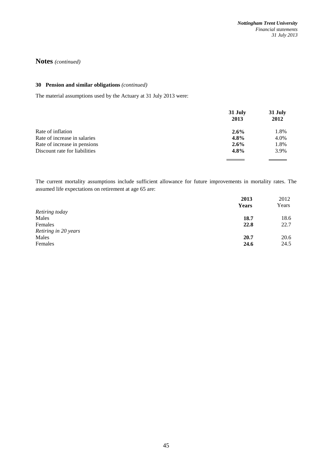# **30 Pension and similar obligations** *(continued)*

The material assumptions used by the Actuary at 31 July 2013 were:

|                               | 31 July | 31 July |
|-------------------------------|---------|---------|
|                               | 2013    | 2012    |
| Rate of inflation             | $2.6\%$ | 1.8%    |
| Rate of increase in salaries  | 4.8%    | 4.0%    |
| Rate of increase in pensions  | $2.6\%$ | 1.8%    |
| Discount rate for liabilities | 4.8%    | 3.9%    |
|                               |         |         |

The current mortality assumptions include sufficient allowance for future improvements in mortality rates. The assumed life expectations on retirement at age 65 are:

|                      | 2013  | 2012  |
|----------------------|-------|-------|
|                      | Years | Years |
| Retiring today       |       |       |
| Males                | 18.7  | 18.6  |
| Females              | 22.8  | 22.7  |
| Retiring in 20 years |       |       |
| Males                | 20.7  | 20.6  |
| Females              | 24.6  | 24.5  |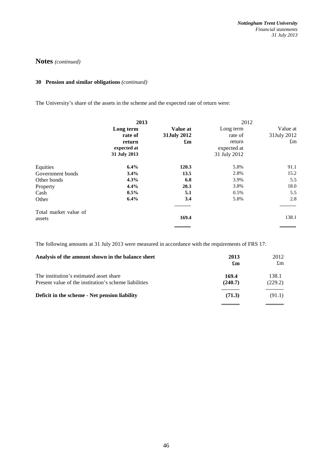# **30 Pension and similar obligations** *(continued)*

The University's share of the assets in the scheme and the expected rate of return were:

|                       | 2013         |                           | 2012         |             |
|-----------------------|--------------|---------------------------|--------------|-------------|
|                       | Long term    | Value at                  | Long term    | Value at    |
|                       | rate of      | 31July 2012               | rate of      | 31July 2012 |
|                       | return       | $\mathbf{f}_{\mathbf{m}}$ | return       | $\pounds$ m |
|                       | expected at  |                           | expected at  |             |
|                       | 31 July 2013 |                           | 31 July 2012 |             |
| Equities              | 6.4%         | 120.3                     | 5.8%         | 91.1        |
| Government bonds      | 3.4%         | 13.5                      | 2.8%         | 15.2        |
| Other bonds           | 4.3%         | 6.8                       | 3.9%         | 5.5         |
| Property              | 4.4%         | 20.3                      | 3.8%         | 18.0        |
| Cash                  | $0.5\%$      | 5.1                       | 0.5%         | 5.5         |
| Other                 | 6.4%         | 3.4                       | 5.8%         | 2.8         |
| Total market value of |              |                           |              |             |
| assets                |              | 169.4                     |              | 138.1       |
|                       |              |                           |              |             |

The following amounts at 31 July 2013 were measured in accordance with the requirements of FRS 17:

| Analysis of the amount shown in the balance sheet                                                | 2013<br>$\mathbf{f}_{\mathbf{m}}$ | 2012<br>$\pounds$ m |
|--------------------------------------------------------------------------------------------------|-----------------------------------|---------------------|
| The institution's estimated asset share<br>Present value of the institution's scheme liabilities | 169.4<br>(240.7)                  | 138.1<br>(229.2)    |
| Deficit in the scheme - Net pension liability                                                    | (71.3)                            | (91.1)              |
|                                                                                                  |                                   |                     |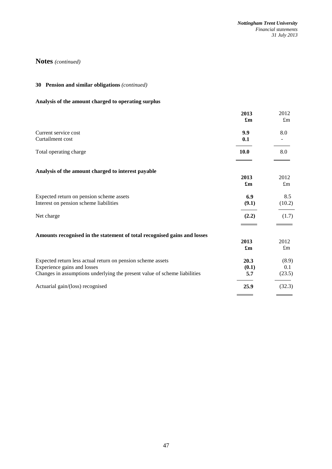# **30 Pension and similar obligations** *(continued)*

# **Analysis of the amount charged to operating surplus**

|                                                                                                                                                                         | 2013<br>$\mathbf{f}_{\mathbf{m}}$ | 2012<br>$\pounds$ m    |
|-------------------------------------------------------------------------------------------------------------------------------------------------------------------------|-----------------------------------|------------------------|
| Current service cost<br>Curtailment cost                                                                                                                                | 9.9<br>0.1                        | 8.0                    |
| Total operating charge                                                                                                                                                  | <b>10.0</b>                       | 8.0                    |
| Analysis of the amount charged to interest payable                                                                                                                      | 2013<br>$\mathbf{f}_{\mathbf{m}}$ | 2012<br>$\pounds$ m    |
| Expected return on pension scheme assets<br>Interest on pension scheme liabilities                                                                                      | 6.9<br>(9.1)                      | 8.5<br>(10.2)          |
| Net charge                                                                                                                                                              | (2.2)                             | (1.7)                  |
| Amounts recognised in the statement of total recognised gains and losses                                                                                                | 2013<br>£m                        | 2012<br>$\pounds$ m    |
| Expected return less actual return on pension scheme assets<br>Experience gains and losses<br>Changes in assumptions underlying the present value of scheme liabilities | 20.3<br>(0.1)<br>5.7              | (8.9)<br>0.1<br>(23.5) |
| Actuarial gain/(loss) recognised                                                                                                                                        | 25.9                              | (32.3)                 |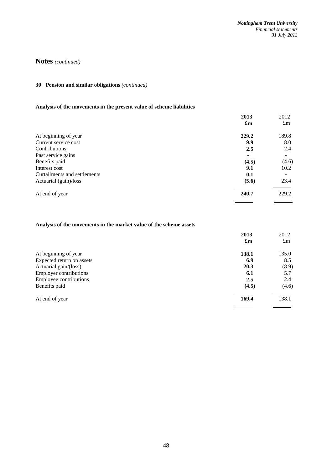# **30 Pension and similar obligations** *(continued)*

# **Analysis of the movements in the present value of scheme liabilities**

| $\pounds$ m              |
|--------------------------|
|                          |
| 189.8                    |
| 8.0                      |
| 2.4                      |
| $\overline{\phantom{a}}$ |
| (4.6)                    |
| 10.2                     |
|                          |
| 23.4                     |
| 229.2                    |
|                          |

# **Analysis of the movements in the market value of the scheme assets**

|                               | 2013                      | 2012        |
|-------------------------------|---------------------------|-------------|
|                               | $\mathbf{f}_{\mathbf{m}}$ | $\pounds$ m |
| At beginning of year          | 138.1                     | 135.0       |
| Expected return on assets     | 6.9                       | 8.5         |
| Actuarial gain/(loss)         | 20.3                      | (8.9)       |
| <b>Employer contributions</b> | 6.1                       | 5.7         |
| Employee contributions        | 2.5                       | 2.4         |
| Benefits paid                 | (4.5)                     | (4.6)       |
| At end of year                | 169.4                     | 138.1       |
|                               |                           |             |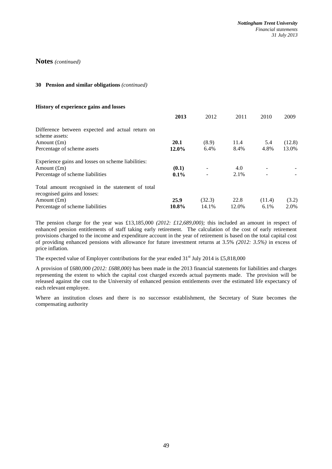### **30 Pension and similar obligations** *(continued)*

### **History of experience gains and losses**

|                                                                                   | 2013    | 2012   | 2011  | 2010   | 2009   |
|-----------------------------------------------------------------------------------|---------|--------|-------|--------|--------|
| Difference between expected and actual return on<br>scheme assets:                |         |        |       |        |        |
| Amount $(f_m)$                                                                    | 20.1    | (8.9)  | 11.4  | 5.4    | (12.8) |
| Percentage of scheme assets                                                       | 12.0%   | 6.4%   | 8.4%  | 4.8%   | 13.0%  |
| Experience gains and losses on scheme liabilities:                                |         |        |       |        |        |
| Amount $(f_m)$                                                                    | (0.1)   |        | 4.0   |        |        |
| Percentage of scheme liabilities                                                  | $0.1\%$ |        | 2.1%  |        |        |
| Total amount recognised in the statement of total<br>recognised gains and losses: |         |        |       |        |        |
| Amount $(f_m)$                                                                    | 25.9    | (32.3) | 22.8  | (11.4) | (3.2)  |
| Percentage of scheme liabilities                                                  | 10.8%   | 14.1%  | 12.0% | 6.1%   | 2.0%   |

The pension charge for the year was £13,185,000 *(2012: £12,689,000);* this included an amount in respect of enhanced pension entitlements of staff taking early retirement. The calculation of the cost of early retirement provisions charged to the income and expenditure account in the year of retirement is based on the total capital cost of providing enhanced pensions with allowance for future investment returns at 3.5% *(2012: 3.5%)* in excess of price inflation.

The expected value of Employer contributions for the year ended  $31<sup>st</sup>$  July 2014 is £5,818,000

A provision of £680,000 *(2012: £688,000)* has been made in the 2013 financial statements for liabilities and charges representing the extent to which the capital cost charged exceeds actual payments made. The provision will be released against the cost to the University of enhanced pension entitlements over the estimated life expectancy of each relevant employee.

Where an institution closes and there is no successor establishment, the Secretary of State becomes the compensating authority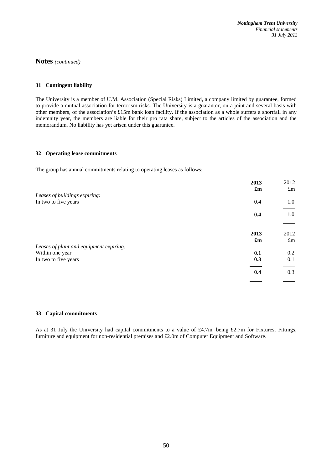## **31 Contingent liability**

The University is a member of U.M. Association (Special Risks) Limited, a company limited by guarantee, formed to provide a mutual association for terrorism risks. The University is a guarantor, on a joint and several basis with other members, of the association's £15m bank loan facility. If the association as a whole suffers a shortfall in any indemnity year, the members are liable for their pro rata share, subject to the articles of the association and the memorandum. No liability has yet arisen under this guarantee.

### **32 Operating lease commitments**

The group has annual commitments relating to operating leases as follows:

| 2013<br>$\mathbf{f}_{\mathbf{m}}$       | 2012<br>$\pounds$ m |
|-----------------------------------------|---------------------|
| Leases of buildings expiring:           |                     |
| In two to five years<br>0.4             | 1.0                 |
| 0.4                                     | 1.0                 |
|                                         |                     |
| 2013                                    | 2012                |
| $\mathbf{f}_{\mathbf{m}}$               | $\pounds$ m         |
| Leases of plant and equipment expiring: |                     |
| Within one year<br>0.1                  | 0.2                 |
| In two to five years<br>0.3             | 0.1                 |
| 0.4                                     | 0.3                 |

### **33 Capital commitments**

As at 31 July the University had capital commitments to a value of £4.7m, being £2.7m for Fixtures, Fittings, furniture and equipment for non-residential premises and £2.0m of Computer Equipment and Software.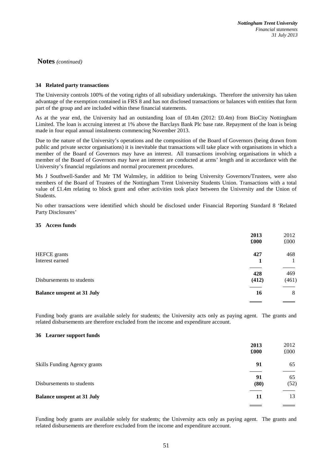## **34 Related party transactions**

The University controls 100% of the voting rights of all subsidiary undertakings. Therefore the university has taken advantage of the exemption contained in FRS 8 and has not disclosed transactions or balances with entities that form part of the group and are included within these financial statements.

As at the year end, the University had an outstanding loan of £0.4m (2012: £0.4m) from BioCity Nottingham Limited. The loan is accruing interest at 1% above the Barclays Bank Plc base rate. Repayment of the loan is being made in four equal annual instalments commencing November 2013.

Due to the nature of the University's operations and the composition of the Board of Governors (being drawn from public and private sector organisations) it is inevitable that transactions will take place with organisations in which a member of the Board of Governors may have an interest. All transactions involving organisations in which a member of the Board of Governors may have an interest are conducted at arms' length and in accordance with the University's financial regulations and normal procurement procedures.

Ms J Southwell-Sander and Mr TM Walmsley, in addition to being University Governors/Trustees, were also members of the Board of Trustees of the Nottingham Trent University Students Union. Transactions with a total value of £1.4m relating to block grant and other activities took place between the University and the Union of Students.

No other transactions were identified which should be disclosed under Financial Reporting Standard 8 'Related Party Disclosures'

## **35 Access funds**

|                                   | 2013<br>£000 | 2012<br>£000 |
|-----------------------------------|--------------|--------------|
| <b>HEFCE</b> grants               | 427          | 468          |
| Interest earned                   |              |              |
|                                   | 428          | 469          |
| Disbursements to students         | (412)        | (461)        |
| <b>Balance unspent at 31 July</b> | 16           | 8            |

Funding body grants are available solely for students; the University acts only as paying agent. The grants and related disbursements are therefore excluded from the income and expenditure account.

### **36 Learner support funds**

|                                   | 2013<br>£000 | 2012<br>£000 |
|-----------------------------------|--------------|--------------|
| Skills Funding Agency grants      | 91           | 65           |
| Disbursements to students         | 91<br>(80)   | 65<br>(52)   |
| <b>Balance unspent at 31 July</b> | 11           | 13           |
|                                   |              |              |

Funding body grants are available solely for students; the University acts only as paying agent. The grants and related disbursements are therefore excluded from the income and expenditure account.